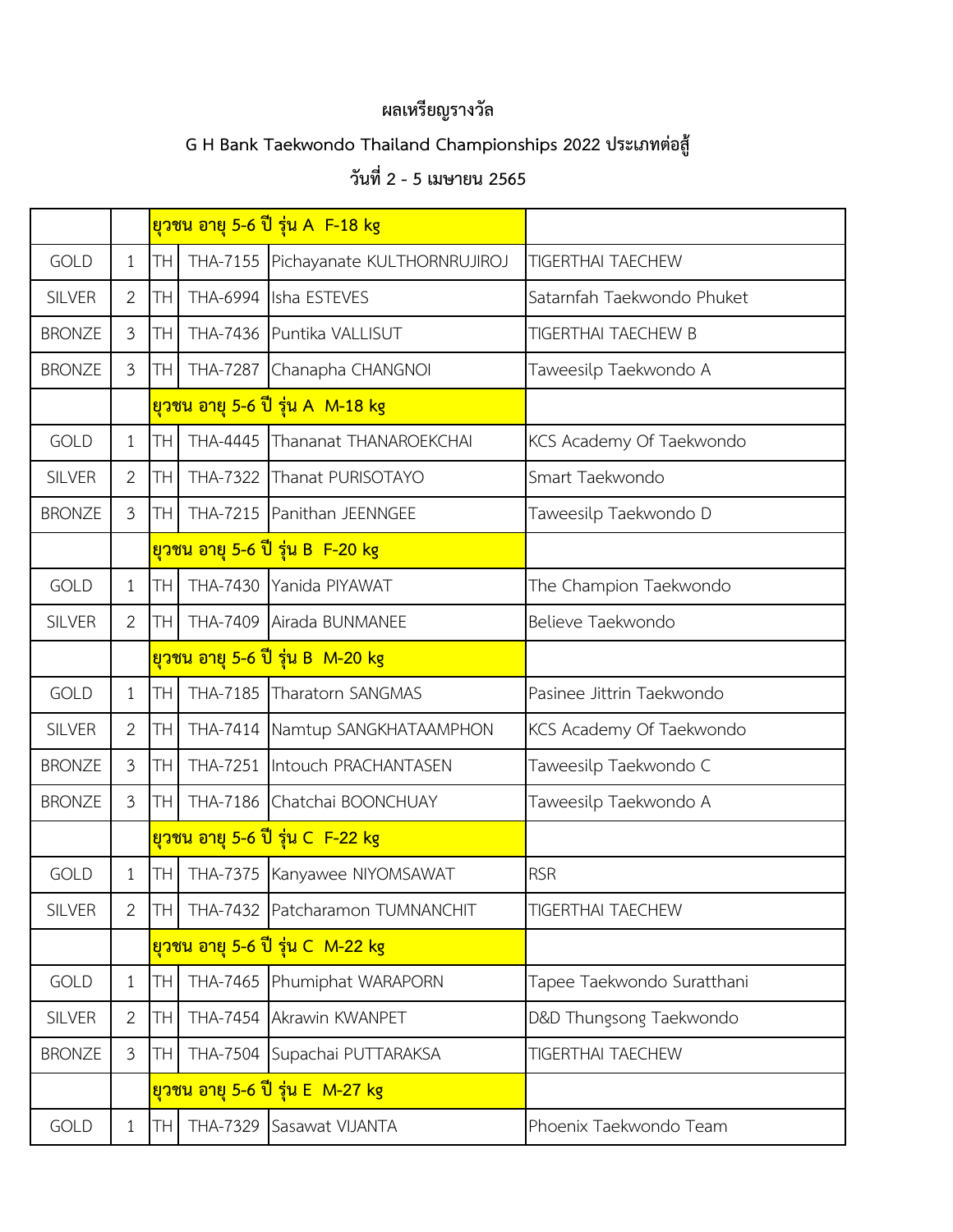## **ผลเหรียญรางวัล**

## **G H Bank Taekwondo Thailand Championships 2022 ประเภทต่อสู้**

## **วันที่2 - 5 เมษายน 2565**

|               |                       |               |                 | <u>ยวชน อายุ 5-6 ปี รุ่น A F-18 kg</u> |                            |
|---------------|-----------------------|---------------|-----------------|----------------------------------------|----------------------------|
| <b>GOLD</b>   | $\mathbf{1}$          | TН            |                 | THA-7155 Pichayanate KULTHORNRUJIROJ   | <b>TIGERTHAI TAECHEW</b>   |
| <b>SILVER</b> | 2                     | TН            |                 | THA-6994 Isha ESTEVES                  | Satarnfah Taekwondo Phuket |
| <b>BRONZE</b> | 3                     | TН            |                 | THA-7436 Puntika VALLISUT              | TIGERTHAI TAECHEW B        |
| <b>BRONZE</b> | $\mathfrak{Z}$        | TН            | THA-7287        | Chanapha CHANGNOI                      | Taweesilp Taekwondo A      |
|               |                       |               |                 | ียวชน อายุ 5-6 ปี รุ่น A M-18 kg       |                            |
| <b>GOLD</b>   | $\mathbf 1$           | <b>TH</b>     | THA-4445        | Thananat THANAROEKCHAI                 | KCS Academy Of Taekwondo   |
| <b>SILVER</b> | 2                     | TН            | <b>THA-7322</b> | Thanat PURISOTAYO                      | Smart Taekwondo            |
| <b>BRONZE</b> | $\mathfrak{Z}$        | TН            |                 | THA-7215 Panithan JEENNGEE             | Taweesilp Taekwondo D      |
|               |                       |               |                 | ียวชน อายุ 5-6 ปี รุ่น B F-20 kg       |                            |
| <b>GOLD</b>   | 1                     | TH            |                 | THA-7430 Yanida PIYAWAT                | The Champion Taekwondo     |
| <b>SILVER</b> | $\mathbf{2}$          | TН            |                 | THA-7409 Airada BUNMANEE               | Believe Taekwondo          |
|               |                       |               |                 | ียวชน อายุ 5-6 ปี รุ่น B M-20 kg       |                            |
| <b>GOLD</b>   | $\mathbf 1$           | <b>TH</b>     |                 | THA-7185 Tharatorn SANGMAS             | Pasinee Jittrin Taekwondo  |
| <b>SILVER</b> | $\overline{2}$        | TH            |                 | THA-7414 Namtup SANGKHATAAMPHON        | KCS Academy Of Taekwondo   |
| <b>BRONZE</b> | $\mathfrak{Z}$        | TН            |                 | THA-7251 Intouch PRACHANTASEN          | Taweesilp Taekwondo C      |
| <b>BRONZE</b> | 3                     | ТH            |                 | THA-7186 Chatchai BOONCHUAY            | Taweesilp Taekwondo A      |
|               |                       |               |                 | <u>ยวชน อายุ 5-6 ปี รุ่น C F-22 kg</u> |                            |
| <b>GOLD</b>   | 1                     | TН            |                 | THA-7375 Kanyawee NIYOMSAWAT           | <b>RSR</b>                 |
| <b>SILVER</b> | $\mathbf{2}^{\prime}$ | $\mathsf{TH}$ |                 | THA-7432 Patcharamon TUMNANCHIT        | <b>TIGERTHAI TAECHEW</b>   |
|               |                       |               |                 | <u>ยวชน อายุ 5-6 ปี รุ่น C_M-22 kg</u> |                            |
| GOLD          | 1                     | TH            |                 | THA-7465 Phumiphat WARAPORN            | Tapee Taekwondo Suratthani |
| <b>SILVER</b> | $\overline{2}$        | TН            |                 | THA-7454 Akrawin KWANPET               | D&D Thungsong Taekwondo    |
| <b>BRONZE</b> | 3                     | TH            |                 | THA-7504 Supachai PUTTARAKSA           | <b>TIGERTHAI TAECHEW</b>   |
|               |                       |               |                 | ียวชน อายุ 5-6 ปี รุ่น E M-27 kg       |                            |
| GOLD          | 1                     | TH            |                 | THA-7329 Sasawat VIJANTA               | Phoenix Taekwondo Team     |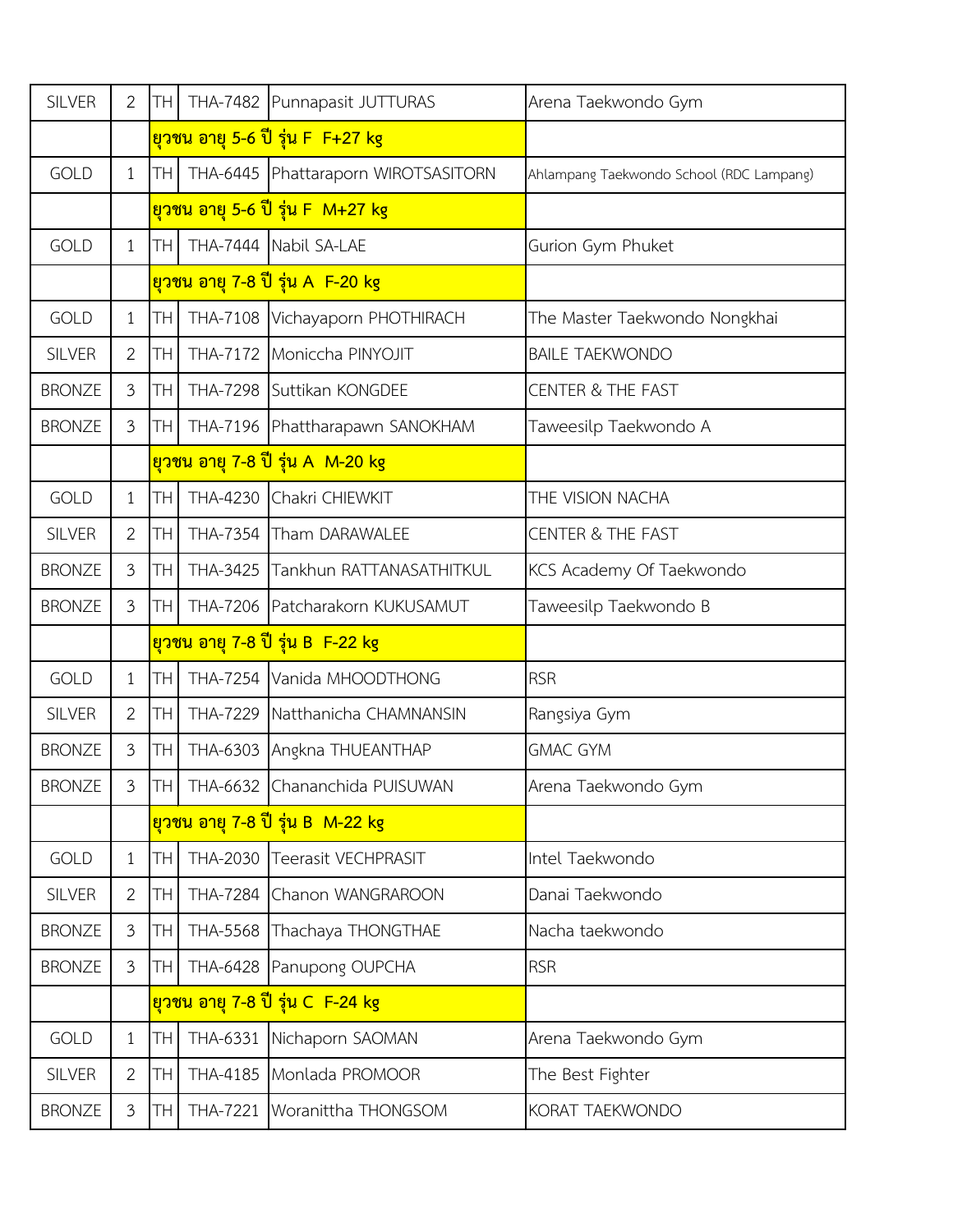| <b>SILVER</b> | $\overline{2}$ | TH.             |                 | THA-7482 Punnapasit JUTTURAS            | Arena Taekwondo Gym                      |
|---------------|----------------|-----------------|-----------------|-----------------------------------------|------------------------------------------|
|               |                |                 |                 | <u>ยุวชน อายุ 5-6 ปี รุ่น F F+27 kg</u> |                                          |
| <b>GOLD</b>   | $\mathbf{1}$   | TH              |                 | THA-6445 Phattaraporn WIROTSASITORN     | Ahlampang Taekwondo School (RDC Lampang) |
|               |                |                 |                 | ยวชน อายุ 5-6 ปี รุ่น F M+27 kg         |                                          |
| <b>GOLD</b>   | $\mathbf{1}$   | TH <sub>1</sub> |                 | THA-7444 Nabil SA-LAE                   | Gurion Gym Phuket                        |
|               |                |                 |                 | ียวชน อายุ 7-8 ปี รุ่น A F-20 kg        |                                          |
| <b>GOLD</b>   | $\mathbf{1}$   | TH              |                 | THA-7108 Vichayaporn PHOTHIRACH         | The Master Taekwondo Nongkhai            |
| <b>SILVER</b> | $\overline{2}$ | TH.             |                 | THA-7172 Moniccha PINYOJIT              | <b>BAILE TAEKWONDO</b>                   |
| <b>BRONZE</b> | 3              | <b>TH</b>       |                 | THA-7298 Suttikan KONGDEE               | <b>CENTER &amp; THE FAST</b>             |
| <b>BRONZE</b> | 3              | TH              |                 | THA-7196 Phattharapawn SANOKHAM         | Taweesilp Taekwondo A                    |
|               |                |                 |                 | ียวชน อายุ 7-8 ปี รุ่น A M-20 kg        |                                          |
| <b>GOLD</b>   | $\mathbf{1}$   | TH              |                 | THA-4230 Chakri CHIEWKIT                | THE VISION NACHA                         |
| <b>SILVER</b> | $\overline{2}$ | TH              |                 | THA-7354 Tham DARAWALEE                 | <b>CENTER &amp; THE FAST</b>             |
| <b>BRONZE</b> | 3              | TH              | THA-3425        | Tankhun RATTANASATHITKUL                | KCS Academy Of Taekwondo                 |
| <b>BRONZE</b> | $\mathfrak{Z}$ | TH.             |                 | THA-7206 Patcharakorn KUKUSAMUT         | Taweesilp Taekwondo B                    |
|               |                |                 |                 | ียวชน อายุ 7-8 ปี รุ่น B F-22 kg        |                                          |
| <b>GOLD</b>   | $\mathbf{1}$   | TH.             |                 | THA-7254 Vanida MHOODTHONG              | <b>RSR</b>                               |
| <b>SILVER</b> | $\overline{2}$ | TH.             |                 | THA-7229 Natthanicha CHAMNANSIN         | Rangsiya Gym                             |
| <b>BRONZE</b> | $\mathfrak{Z}$ | TH.             |                 | THA-6303 Angkna THUEANTHAP              | <b>GMAC GYM</b>                          |
| <b>BRONZE</b> | $\mathfrak{Z}$ |                 |                 | TH THA-6632 Chananchida PUISUWAN        | Arena Taekwondo Gym                      |
|               |                |                 |                 | <u>ยวชน อายุ 7-8 ปี รุ่น B M-22 kg</u>  |                                          |
| <b>GOLD</b>   | $\mathbf{1}$   | TH              |                 | THA-2030 Teerasit VECHPRASIT            | Intel Taekwondo                          |
| <b>SILVER</b> | $\overline{2}$ | TH              |                 | THA-7284 Chanon WANGRAROON              | Danai Taekwondo                          |
| <b>BRONZE</b> | $\mathfrak{Z}$ | TH <sub>1</sub> |                 | THA-5568 Thachaya THONGTHAE             | Nacha taekwondo                          |
| <b>BRONZE</b> | $\mathfrak{Z}$ | <b>TH</b>       |                 | THA-6428 Panupong OUPCHA                | <b>RSR</b>                               |
|               |                |                 |                 | <u>ยวชน อายุ 7-8 ปี รุ่น C_F-24 kg</u>  |                                          |
| <b>GOLD</b>   | $\mathbf{1}$   | <b>TH</b>       |                 | THA-6331 Nichaporn SAOMAN               | Arena Taekwondo Gym                      |
| <b>SILVER</b> | $\overline{2}$ | <b>TH</b>       |                 | THA-4185 Monlada PROMOOR                | The Best Fighter                         |
| <b>BRONZE</b> | $\mathfrak{Z}$ | TH.             | <b>THA-7221</b> | Woranittha THONGSOM                     | KORAT TAEKWONDO                          |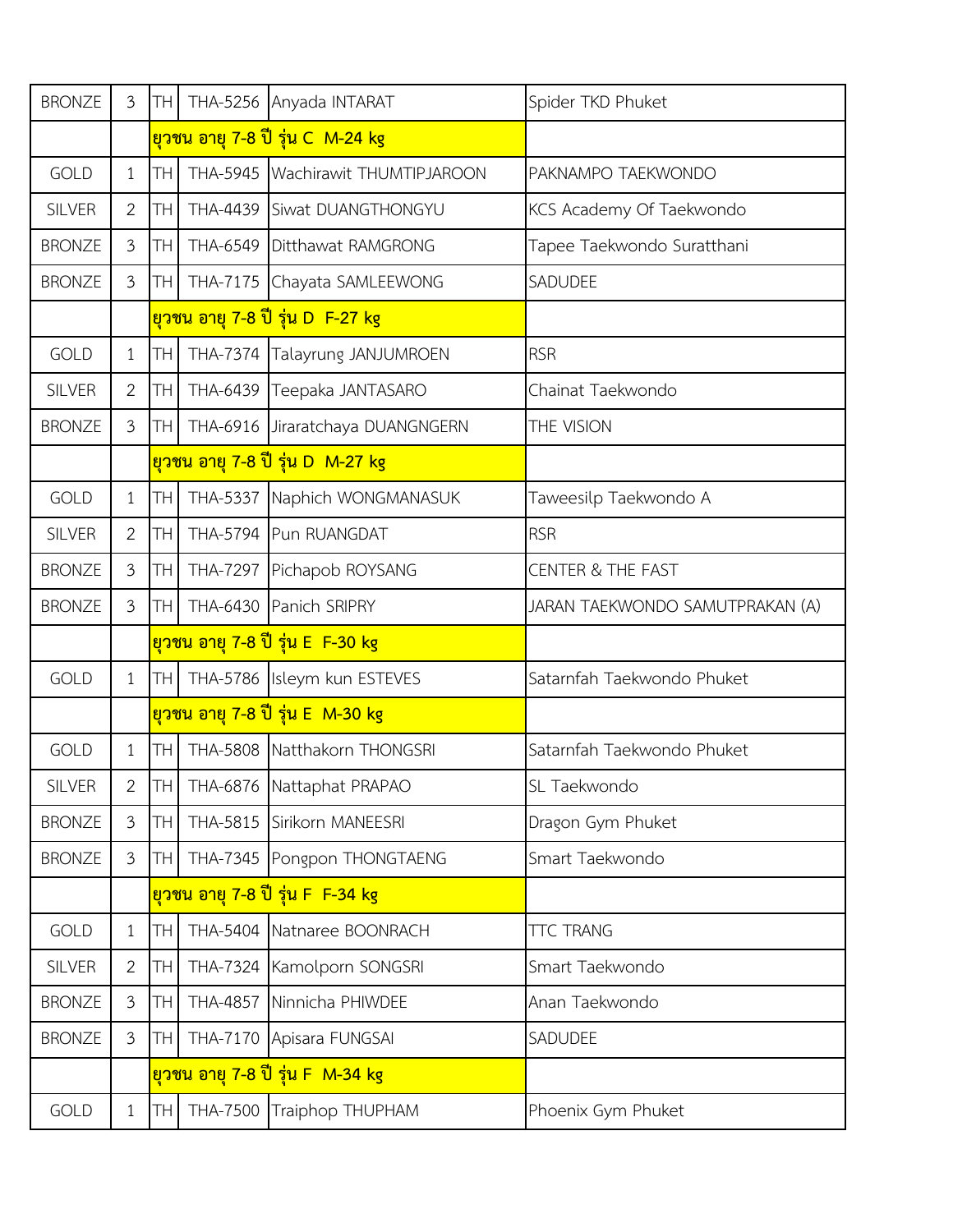| <b>BRONZE</b> | $\mathfrak{Z}$        | TН        | <b>THA-5256</b> | Anyada INTARAT                         | Spider TKD Phuket               |
|---------------|-----------------------|-----------|-----------------|----------------------------------------|---------------------------------|
|               |                       |           |                 | <u>ยวชน อายุ 7-8 ปี รุ่น C_M-24 kg</u> |                                 |
| <b>GOLD</b>   | $\mathbf 1$           | TН        |                 | THA-5945 Wachirawit THUMTIPJAROON      | PAKNAMPO TAEKWONDO              |
| <b>SILVER</b> | $\mathbf{2}$          | TН        | THA-4439        | Siwat DUANGTHONGYU                     | KCS Academy Of Taekwondo        |
| <b>BRONZE</b> | 3                     | TН        |                 | THA-6549 Ditthawat RAMGRONG            | Tapee Taekwondo Suratthani      |
| <b>BRONZE</b> | $\mathfrak{Z}$        | TН        | <b>THA-7175</b> | Chayata SAMLEEWONG                     | SADUDEE                         |
|               |                       |           |                 | <u>ยวชน อายุ 7-8 ปี รุ่น D F-27 kg</u> |                                 |
| <b>GOLD</b>   | $\mathbf{1}$          | TΗ        |                 | THA-7374 Talayrung JANJUMROEN          | <b>RSR</b>                      |
| <b>SILVER</b> | 2                     | TН        |                 | THA-6439 Teepaka JANTASARO             | Chainat Taekwondo               |
| <b>BRONZE</b> | $\mathfrak{Z}$        | TН        |                 | THA-6916 Jiraratchaya DUANGNGERN       | THE VISION                      |
|               |                       |           |                 | ียวชน อายุ 7-8 ปี รุ่น D M-27 kg       |                                 |
| <b>GOLD</b>   | $\mathbf{1}$          | TН        |                 | THA-5337 Naphich WONGMANASUK           | Taweesilp Taekwondo A           |
| <b>SILVER</b> | $\overline{2}$        | TН        |                 | THA-5794 Pun RUANGDAT                  | <b>RSR</b>                      |
| <b>BRONZE</b> | $\mathfrak{Z}$        | TН        |                 | THA-7297 Pichapob ROYSANG              | <b>CENTER &amp; THE FAST</b>    |
| <b>BRONZE</b> | 3                     | <b>TH</b> |                 | THA-6430 Panich SRIPRY                 | JARAN TAEKWONDO SAMUTPRAKAN (A) |
|               |                       |           |                 | <u>ยวชน อายุ 7-8 ปี รุ่น E F-30 kg</u> |                                 |
| <b>GOLD</b>   | $\mathbf{1}$          | <b>TH</b> |                 | THA-5786 Isleym kun ESTEVES            | Satarnfah Taekwondo Phuket      |
|               |                       |           |                 | <u>ยวชน อายุ 7-8 ปี รุ่น E M-30 kg</u> |                                 |
| <b>GOLD</b>   | $\mathbf{1}$          | TН        |                 | THA-5808 Natthakorn THONGSRI           | Satarnfah Taekwondo Phuket      |
| <b>SILVER</b> | $\mathbf{2}^{\prime}$ | TH        |                 | THA-6876 Nattaphat PRAPAO              | SL Taekwondo                    |
| <b>BRONZE</b> | 3                     | <b>TH</b> |                 | THA-5815 Sirikorn MANEESRI             | Dragon Gym Phuket               |
| <b>BRONZE</b> | 3                     | TH        |                 | THA-7345 Pongpon THONGTAENG            | Smart Taekwondo                 |
|               |                       |           |                 | ียวชน อายุ 7-8 ปี รุ่น F F-34 kg       |                                 |
| <b>GOLD</b>   | $\mathbf{1}$          | TН        |                 | THA-5404 Natnaree BOONRACH             | <b>TTC TRANG</b>                |
| <b>SILVER</b> | $\overline{2}$        | TН        |                 | THA-7324 Kamolporn SONGSRI             | Smart Taekwondo                 |
| <b>BRONZE</b> | 3                     | TН        | <b>THA-4857</b> | Ninnicha PHIWDEE                       | Anan Taekwondo                  |
| <b>BRONZE</b> | 3                     | TH        |                 | THA-7170 Apisara FUNGSAI               | SADUDEE                         |
|               |                       |           |                 | <u>ยวชน อายุ 7-8 ปี รุ่น F M-34 kg</u> |                                 |
| GOLD          | $\mathbf{1}$          | TH        |                 | THA-7500 Traiphop THUPHAM              | Phoenix Gym Phuket              |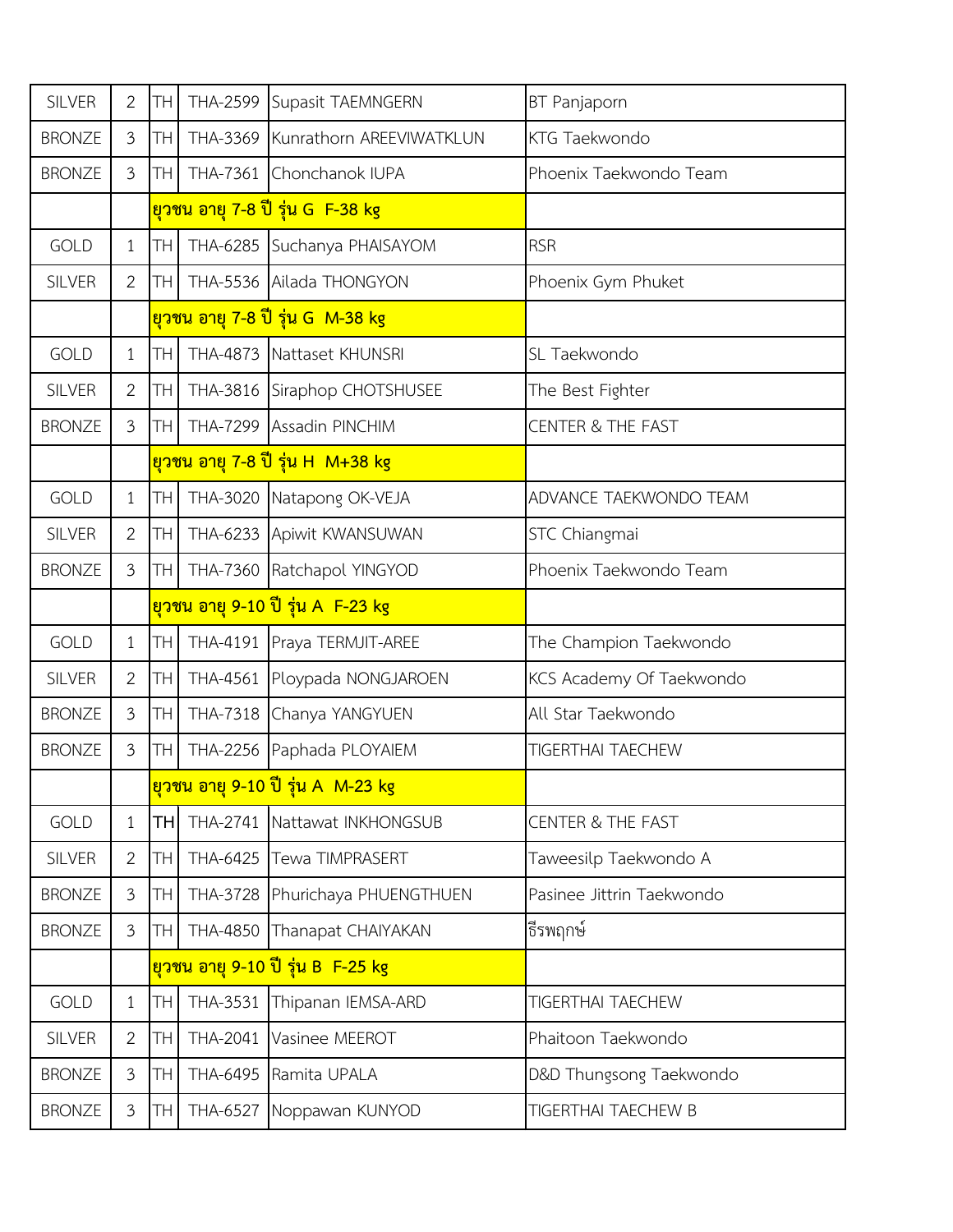| <b>SILVER</b> | $\overline{2}$ | TH              |                 | THA-2599 Supasit TAEMNGERN             | BT Panjaporn                 |
|---------------|----------------|-----------------|-----------------|----------------------------------------|------------------------------|
| <b>BRONZE</b> | 3              | TH              |                 | THA-3369 Kunrathorn AREEVIWATKLUN      | KTG Taekwondo                |
| <b>BRONZE</b> | $\mathfrak{Z}$ | TH I            |                 | THA-7361 Chonchanok IUPA               | Phoenix Taekwondo Team       |
|               |                |                 |                 | <u>ยวชน อายุ 7-8 ปี รุ่น G F-38 kg</u> |                              |
| GOLD          | $\mathbf{1}$   | TH              |                 | THA-6285 Suchanya PHAISAYOM            | <b>RSR</b>                   |
| <b>SILVER</b> | $\overline{2}$ | TH              |                 | THA-5536 Ailada THONGYON               | Phoenix Gym Phuket           |
|               |                |                 |                 | ียวชน อายุ 7-8 ปี รุ่น G M-38 kg       |                              |
| <b>GOLD</b>   | $\mathbf{1}$   | TH              |                 | THA-4873 Nattaset KHUNSRI              | SL Taekwondo                 |
| <b>SILVER</b> | $\overline{2}$ | TH              |                 | THA-3816 Siraphop CHOTSHUSEE           | The Best Fighter             |
| <b>BRONZE</b> | 3              | TH <sub>1</sub> |                 | THA-7299 Assadin PINCHIM               | <b>CENTER &amp; THE FAST</b> |
|               |                |                 |                 | <u>ยวชน อายุ 7-8 ปี รุ่น H_M+38 kg</u> |                              |
| <b>GOLD</b>   | $\mathbf{1}$   | TH              |                 | THA-3020 Natapong OK-VEJA              | ADVANCE TAEKWONDO TEAM       |
| <b>SILVER</b> | $\overline{2}$ | <b>TH</b>       |                 | THA-6233 Apiwit KWANSUWAN              | STC Chiangmai                |
| <b>BRONZE</b> | $\mathfrak{Z}$ | TH <sub>1</sub> |                 | THA-7360 Ratchapol YINGYOD             | Phoenix Taekwondo Team       |
|               |                |                 |                 | ียวชน อายุ 9-10 ปี รุ่น A F-23 kg      |                              |
| <b>GOLD</b>   | $\mathbf{1}$   | TH              |                 | THA-4191 Praya TERMJIT-AREE            | The Champion Taekwondo       |
| <b>SILVER</b> | $\overline{2}$ | TH.             |                 | THA-4561 Ploypada NONGJAROEN           | KCS Academy Of Taekwondo     |
| <b>BRONZE</b> | 3              | TH              |                 | THA-7318 Chanya YANGYUEN               | All Star Taekwondo           |
| <b>BRONZE</b> | $\mathfrak{Z}$ | <b>TH</b>       |                 | THA-2256 Paphada PLOYAIEM              | <b>TIGERTHAI TAECHEW</b>     |
|               |                |                 |                 | ียวชน อายุ 9-10 ปี รุ่น A M-23 kg      |                              |
| <b>GOLD</b>   | $\mathbf{1}$   | <b>TH</b>       |                 | THA-2741 Nattawat INKHONGSUB           | <b>CENTER &amp; THE FAST</b> |
| <b>SILVER</b> | $\overline{2}$ | TH.             | THA-6425        | <b>Tewa TIMPRASERT</b>                 | Taweesilp Taekwondo A        |
| <b>BRONZE</b> | $\mathfrak{Z}$ | TH.             |                 | THA-3728 Phurichaya PHUENGTHUEN        | Pasinee Jittrin Taekwondo    |
| <b>BRONZE</b> | $\mathfrak{Z}$ | TH.             | THA-4850        | Thanapat CHAIYAKAN                     | ธีรพฤกษ์                     |
|               |                |                 |                 | ียวชน อายุ 9-10 ปี รุ่น B F-25 kg      |                              |
| <b>GOLD</b>   | $\mathbf{1}$   | TH.             | THA-3531        | Thipanan IEMSA-ARD                     | <b>TIGERTHAI TAECHEW</b>     |
| <b>SILVER</b> | $\overline{2}$ | <b>TH</b>       | <b>THA-2041</b> | Vasinee MEEROT                         | Phaitoon Taekwondo           |
| <b>BRONZE</b> | $\mathfrak{Z}$ | TН              |                 | THA-6495 Ramita UPALA                  | D&D Thungsong Taekwondo      |
| <b>BRONZE</b> | $\mathfrak{Z}$ | TH.             |                 | THA-6527 Noppawan KUNYOD               | TIGERTHAI TAECHEW B          |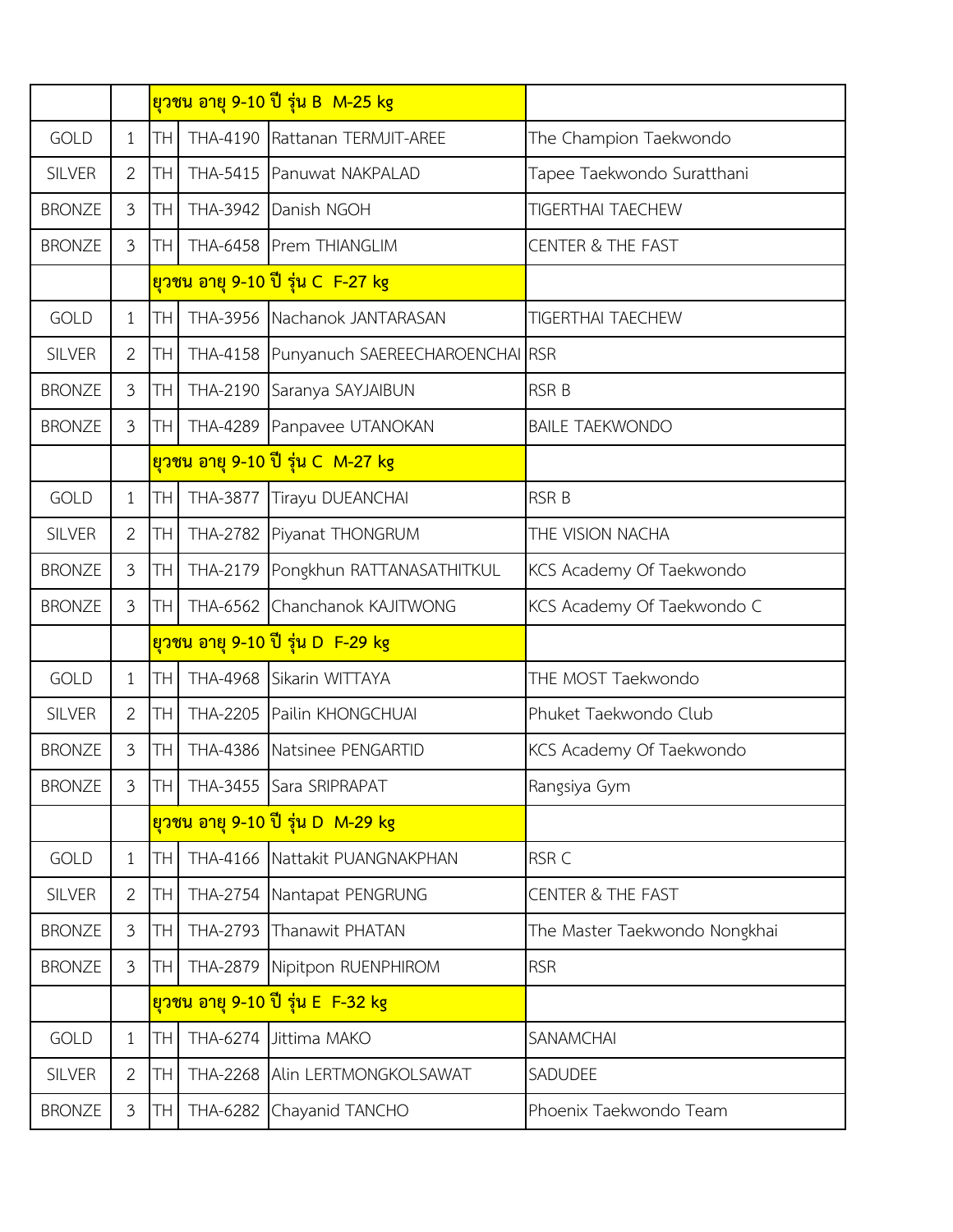|               |                |                 | <u>ยวชน อายุ 9-10 ปี รุ่น B M-25 kg</u> |                               |
|---------------|----------------|-----------------|-----------------------------------------|-------------------------------|
| <b>GOLD</b>   | $\mathbf{1}$   | TH.             | THA-4190 Rattanan TERMJIT-AREE          | The Champion Taekwondo        |
| <b>SILVER</b> | $\overline{2}$ | TH <sub>1</sub> | THA-5415 Panuwat NAKPALAD               | Tapee Taekwondo Suratthani    |
| <b>BRONZE</b> | 3              | TH              | THA-3942 Danish NGOH                    | <b>TIGERTHAI TAECHEW</b>      |
| <b>BRONZE</b> | $\mathfrak{Z}$ | TH              | THA-6458 Prem THIANGLIM                 | <b>CENTER &amp; THE FAST</b>  |
|               |                |                 | ียวชน อายุ 9-10 ปี รุ่น C_F-27 kg       |                               |
| <b>GOLD</b>   | $\mathbf{1}$   | TH <sup></sup>  | THA-3956 Nachanok JANTARASAN            | <b>TIGERTHAI TAECHEW</b>      |
| <b>SILVER</b> | $\overline{2}$ | TH <sub>1</sub> | THA-4158 Punyanuch SAEREECHAROENCHAIRSR |                               |
| <b>BRONZE</b> | $\mathfrak{Z}$ | TH <sub>1</sub> | THA-2190 Saranya SAYJAIBUN              | <b>RSR B</b>                  |
| <b>BRONZE</b> | 3              | <b>TH</b>       | THA-4289 Panpavee UTANOKAN              | <b>BAILE TAEKWONDO</b>        |
|               |                |                 | <u>ยวชน อายุ 9-10 ปี รุ่น C_M-27 kg</u> |                               |
| <b>GOLD</b>   | $\mathbf{1}$   | <b>TH</b>       | THA-3877 Tirayu DUEANCHAI               | <b>RSR B</b>                  |
| <b>SILVER</b> | $\overline{2}$ | <b>TH</b>       | THA-2782 Piyanat THONGRUM               | THE VISION NACHA              |
| <b>BRONZE</b> | $\mathfrak{Z}$ | TH              | THA-2179 Pongkhun RATTANASATHITKUL      | KCS Academy Of Taekwondo      |
| <b>BRONZE</b> | $\mathfrak{Z}$ | TH <sub>1</sub> | THA-6562 Chanchanok KAJITWONG           | KCS Academy Of Taekwondo C    |
|               |                |                 | ียวชน อายุ 9-10 ปี รุ่น D F-29 kg       |                               |
| <b>GOLD</b>   | $\mathbf{1}$   | <b>TH</b>       | THA-4968 Sikarin WITTAYA                | THE MOST Taekwondo            |
| <b>SILVER</b> | $\overline{2}$ | TH I            | THA-2205 Pailin KHONGCHUAI              | Phuket Taekwondo Club         |
| <b>BRONZE</b> | $\mathfrak{Z}$ | TH <sub>1</sub> | THA-4386 Natsinee PENGARTID             | KCS Academy Of Taekwondo      |
| <b>BRONZE</b> | 3              |                 | <b>TH</b> THA-3455 Sara SRIPRAPAT       | Rangsiya Gym                  |
|               |                |                 | <u>ยวชน อายุ 9-10 ปี รุ่น D_M-29 kg</u> |                               |
| <b>GOLD</b>   | $\mathbf{1}$   | <b>TH</b>       | THA-4166 Nattakit PUANGNAKPHAN          | RSR <sub>C</sub>              |
| <b>SILVER</b> | $\overline{2}$ | TH.             | THA-2754 Nantapat PENGRUNG              | <b>CENTER &amp; THE FAST</b>  |
| <b>BRONZE</b> | $\mathfrak{Z}$ | TH.             | THA-2793 Thanawit PHATAN                | The Master Taekwondo Nongkhai |
| <b>BRONZE</b> | 3              | TH              | THA-2879 Nipitpon RUENPHIROM            | <b>RSR</b>                    |
|               |                |                 | <u>ยวชน อายุ 9-10 ปี รุ่น E F-32 kg</u> |                               |
| <b>GOLD</b>   | $\mathbf{1}$   | <b>TH</b>       | THA-6274 Jittima MAKO                   | <b>SANAMCHAI</b>              |
| <b>SILVER</b> | $\overline{2}$ | TН              | THA-2268 Alin LERTMONGKOLSAWAT          | SADUDEE                       |
| <b>BRONZE</b> | $\mathfrak{Z}$ | TH              | THA-6282 Chayanid TANCHO                | Phoenix Taekwondo Team        |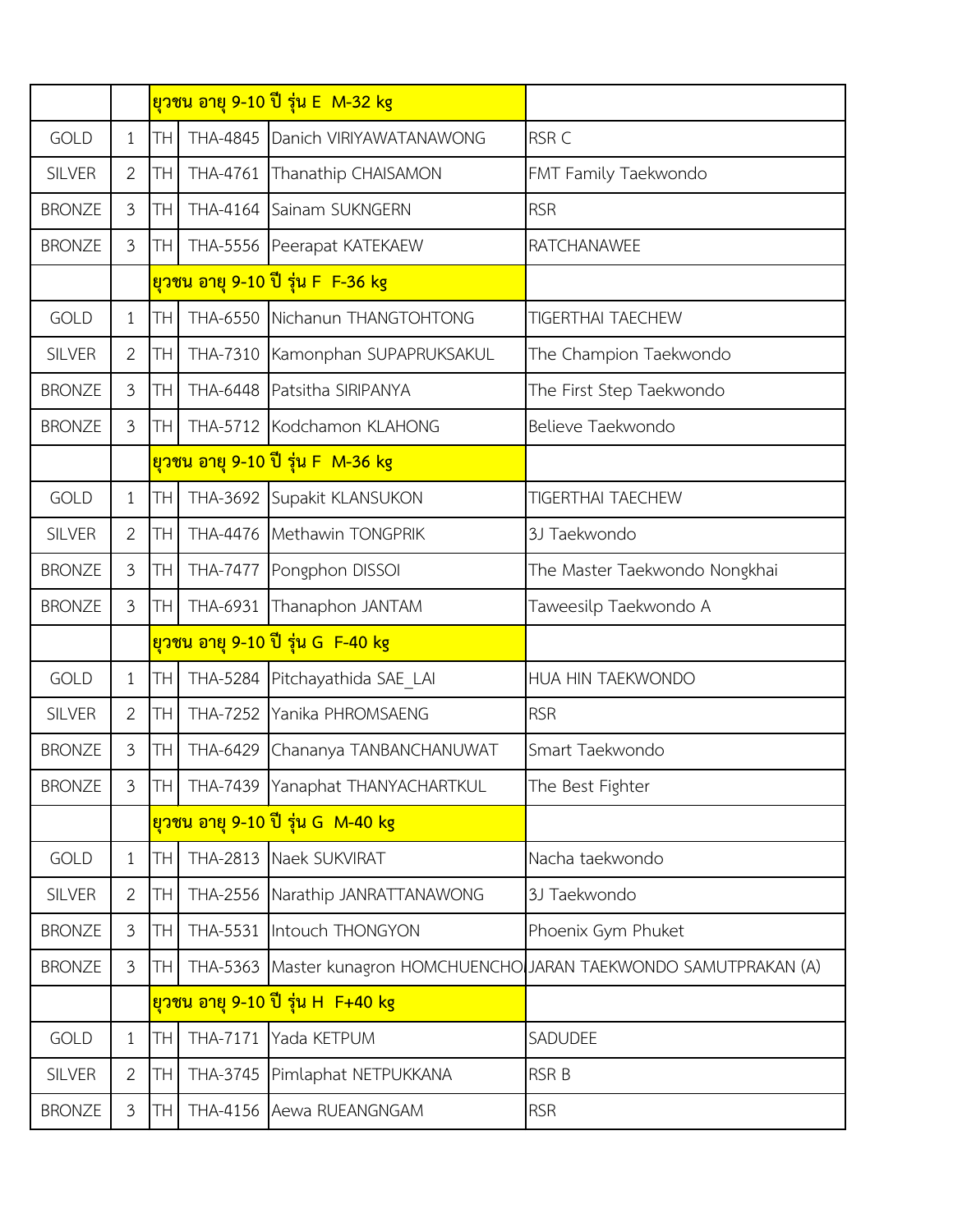|               |                |                 | <u>ยวชน อายุ 9-10 ปี รุ่น E M-32 kg</u> |                                                                      |
|---------------|----------------|-----------------|-----------------------------------------|----------------------------------------------------------------------|
| <b>GOLD</b>   | $\mathbf{1}$   | <b>TH</b>       | THA-4845 Danich VIRIYAWATANAWONG        | RSR C                                                                |
| <b>SILVER</b> | $\overline{2}$ | TH              | THA-4761 Thanathip CHAISAMON            | FMT Family Taekwondo                                                 |
| <b>BRONZE</b> | 3              | TH <sub>1</sub> | THA-4164 Sainam SUKNGERN                | <b>RSR</b>                                                           |
| <b>BRONZE</b> | $\mathfrak{Z}$ | TH              | THA-5556 Peerapat KATEKAEW              | <b>RATCHANAWEE</b>                                                   |
|               |                |                 | ียวชน อายุ 9-10 ปี รุ่น F F-36 kg       |                                                                      |
| <b>GOLD</b>   | $\mathbf{1}$   | TH.             | THA-6550 Nichanun THANGTOHTONG          | <b>TIGERTHAI TAECHEW</b>                                             |
| <b>SILVER</b> | $\overline{2}$ | TH              | THA-7310 Kamonphan SUPAPRUKSAKUL        | The Champion Taekwondo                                               |
| <b>BRONZE</b> | 3              | TH.             | THA-6448 Patsitha SIRIPANYA             | The First Step Taekwondo                                             |
| <b>BRONZE</b> | 3              | TH <sub>1</sub> | THA-5712 Kodchamon KLAHONG              | Believe Taekwondo                                                    |
|               |                |                 | ียวชน อายุ 9-10 ปี รุ่น F M-36 kg       |                                                                      |
| <b>GOLD</b>   | $\mathbf{1}$   | TH              | THA-3692 Supakit KLANSUKON              | <b>TIGERTHAI TAECHEW</b>                                             |
| <b>SILVER</b> | $\overline{2}$ | TH <sup></sup>  | THA-4476 Methawin TONGPRIK              | 3J Taekwondo                                                         |
| <b>BRONZE</b> | $\mathfrak{Z}$ | TH              | THA-7477 Pongphon DISSOI                | The Master Taekwondo Nongkhai                                        |
| <b>BRONZE</b> | $\mathfrak{Z}$ | TH <sub>1</sub> | THA-6931 Thanaphon JANTAM               | Taweesilp Taekwondo A                                                |
|               |                |                 | <u>ยวชน อายุ 9-10 ปี รุ่น G F-40 kg</u> |                                                                      |
| <b>GOLD</b>   | $\mathbf{1}$   | TH.             | THA-5284 Pitchayathida SAE_LAI          | HUA HIN TAEKWONDO                                                    |
| <b>SILVER</b> | $\overline{2}$ | TH I            | THA-7252 Yanika PHROMSAENG              | <b>RSR</b>                                                           |
| <b>BRONZE</b> | $\mathfrak{Z}$ | TH.             | THA-6429 Chananya TANBANCHANUWAT        | Smart Taekwondo                                                      |
| <b>BRONZE</b> | 3              |                 | TH   THA-7439   Yanaphat THANYACHARTKUL | The Best Fighter                                                     |
|               |                |                 | ียวชน อายุ 9-10 ปี รุ่น G_M-40 kg       |                                                                      |
| <b>GOLD</b>   | $\mathbf{1}$   | TH.             | THA-2813 Naek SUKVIRAT                  | Nacha taekwondo                                                      |
| <b>SILVER</b> | $\overline{2}$ | TH.             | THA-2556 Narathip JANRATTANAWONG        | 3J Taekwondo                                                         |
| <b>BRONZE</b> | 3              | TH.             | THA-5531 Intouch THONGYON               | Phoenix Gym Phuket                                                   |
| <b>BRONZE</b> | 3              | TH              |                                         | THA-5363 Master kunagron HOMCHUENCHO JARAN TAEKWONDO SAMUTPRAKAN (A) |
|               |                |                 | <u>ยวชน อายุ 9-10 ปี รุ่น H F+40 kg</u> |                                                                      |
| <b>GOLD</b>   | $\mathbf{1}$   | <b>TH</b>       | THA-7171 Yada KETPUM                    | SADUDEE                                                              |
| <b>SILVER</b> | $\overline{2}$ | TH <sub>1</sub> | THA-3745 Pimlaphat NETPUKKANA           | <b>RSR B</b>                                                         |
| <b>BRONZE</b> | $\mathfrak{Z}$ | TH              | THA-4156 Aewa RUEANGNGAM                | <b>RSR</b>                                                           |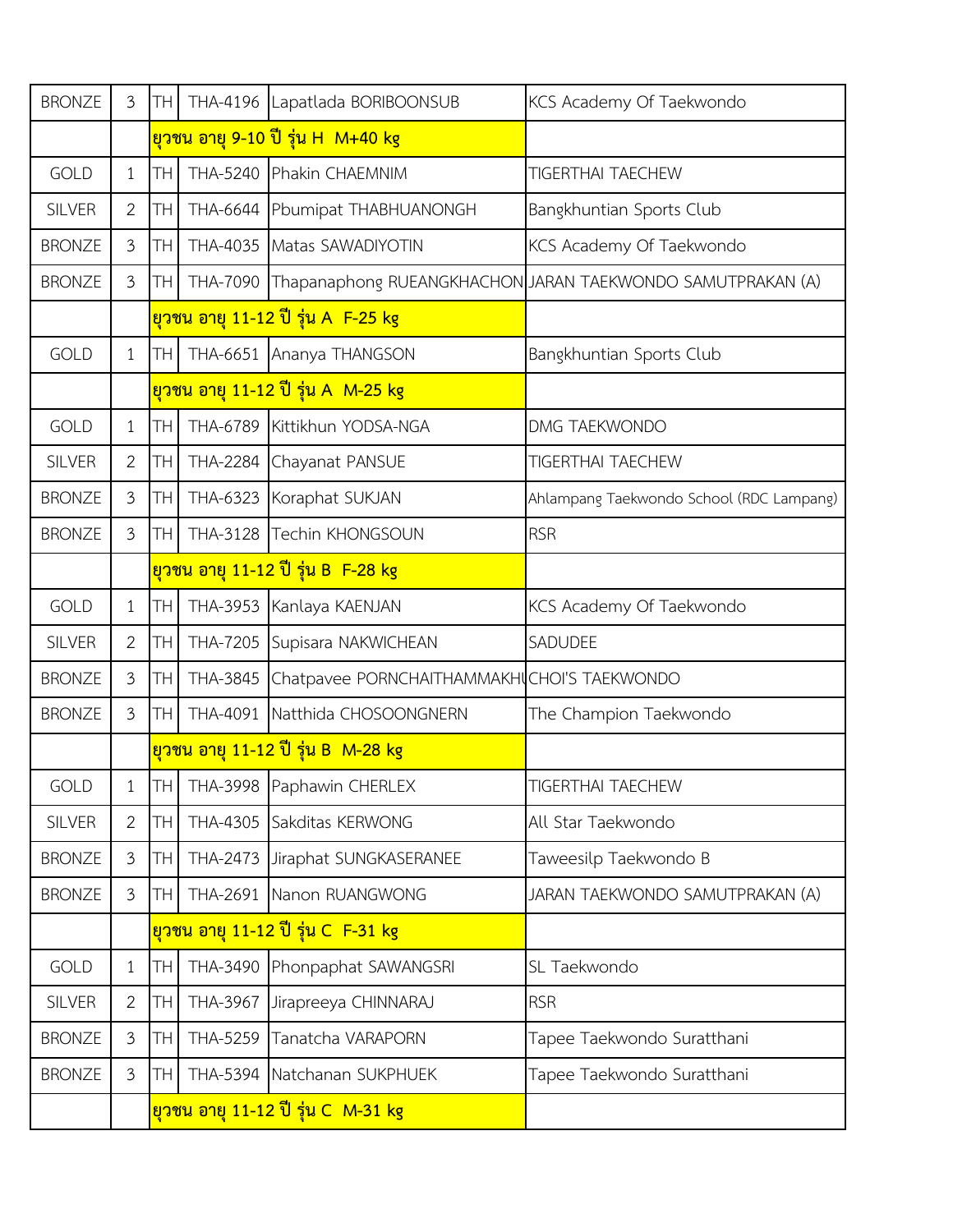| <b>BRONZE</b> | $\mathfrak{Z}$ | TH         |                 | THA-4196 Lapatlada BORIBOONSUB                 | KCS Academy Of Taekwondo                                   |
|---------------|----------------|------------|-----------------|------------------------------------------------|------------------------------------------------------------|
|               |                |            |                 | <mark>ียวชน อายุ 9-10 ปี รุ่น H_M+40 kg</mark> |                                                            |
| <b>GOLD</b>   | $\mathbf{1}$   | TH         |                 | THA-5240 Phakin CHAEMNIM                       | <b>TIGERTHAI TAECHEW</b>                                   |
| <b>SILVER</b> | 2              | TH         |                 | THA-6644 Pbumipat THABHUANONGH                 | Bangkhuntian Sports Club                                   |
| <b>BRONZE</b> | $\mathfrak{Z}$ | TH         | THA-4035        | Matas SAWADIYOTIN                              | KCS Academy Of Taekwondo                                   |
| <b>BRONZE</b> | $\mathfrak{Z}$ | TH         | THA-7090        |                                                | Thapanaphong RUEANGKHACHON JARAN TAEKWONDO SAMUTPRAKAN (A) |
|               |                |            |                 | ียวชน อายุ 11-12 ปี รุ่น A F-25 kg             |                                                            |
| <b>GOLD</b>   | $\mathbf{1}$   | <b>TH</b>  |                 | THA-6651 Ananya THANGSON                       | Bangkhuntian Sports Club                                   |
|               |                |            |                 | <u>ยวชน อายุ 11-12 ปี รุ่น A_M-25 kg</u>       |                                                            |
| <b>GOLD</b>   | $\mathbf{1}$   | <b>TH</b>  | THA-6789        | Kittikhun YODSA-NGA                            | DMG TAEKWONDO                                              |
| <b>SILVER</b> | 2              | ТH         |                 | THA-2284 Chayanat PANSUE                       | <b>TIGERTHAI TAECHEW</b>                                   |
| <b>BRONZE</b> | $\mathfrak{Z}$ | TH         |                 | THA-6323 Koraphat SUKJAN                       | Ahlampang Taekwondo School (RDC Lampang)                   |
| <b>BRONZE</b> | $\mathfrak{Z}$ | TH         | THA-3128        | Techin KHONGSOUN                               | <b>RSR</b>                                                 |
|               |                |            |                 | ียวชน อายุ 11-12 ปี รุ่น B F-28 kg             |                                                            |
| <b>GOLD</b>   | $\mathbf{1}$   | <b>TH</b>  |                 | THA-3953 Kanlaya KAENJAN                       | KCS Academy Of Taekwondo                                   |
| <b>SILVER</b> | $\overline{2}$ | <b>TH</b>  |                 | THA-7205 Supisara NAKWICHEAN                   | SADUDEE                                                    |
| <b>BRONZE</b> | $\mathfrak{Z}$ | <b>TH</b>  | THA-3845        | Chatpavee PORNCHAITHAMMAKHICHOI'S TAEKWONDO    |                                                            |
| <b>BRONZE</b> | $\mathfrak{Z}$ | TH         |                 | THA-4091 Natthida CHOSOONGNERN                 | The Champion Taekwondo                                     |
|               |                |            |                 | <u>ยวชน อายุ 11-12 ปี รุ่น B M-28 kg</u>       |                                                            |
| GOLD          | $\mathbf{1}$   | TH         |                 | THA-3998 Paphawin CHERLEX                      | TIGERTHAI TAECHEW                                          |
| <b>SILVER</b> | $\overline{2}$ | <b>TH</b>  | THA-4305        | Sakditas KERWONG                               | All Star Taekwondo                                         |
| <b>BRONZE</b> | $\mathfrak{Z}$ | <b>TH</b>  | THA-2473        | Jiraphat SUNGKASERANEE                         | Taweesilp Taekwondo B                                      |
| <b>BRONZE</b> | $\mathfrak{Z}$ | <b>ITH</b> |                 | THA-2691 Nanon RUANGWONG                       | JARAN TAEKWONDO SAMUTPRAKAN (A)                            |
|               |                |            |                 | ียวชน อายุ 11-12 ปี รุ่น C_F-31 kg             |                                                            |
| <b>GOLD</b>   | $\mathbf{1}$   | <b>TH</b>  | THA-3490        | Phonpaphat SAWANGSRI                           | SL Taekwondo                                               |
| <b>SILVER</b> | $\overline{2}$ | TH         | THA-3967        | Jirapreeya CHINNARAJ                           | <b>RSR</b>                                                 |
| <b>BRONZE</b> | $\mathfrak{Z}$ | TН         | <b>THA-5259</b> | Tanatcha VARAPORN                              | Tapee Taekwondo Suratthani                                 |
| <b>BRONZE</b> | $\mathfrak{Z}$ | TH         |                 | THA-5394 Natchanan SUKPHUEK                    | Tapee Taekwondo Suratthani                                 |
|               |                |            |                 | ียวชน อายุ 11-12 ปี รุ่น C M-31 kg             |                                                            |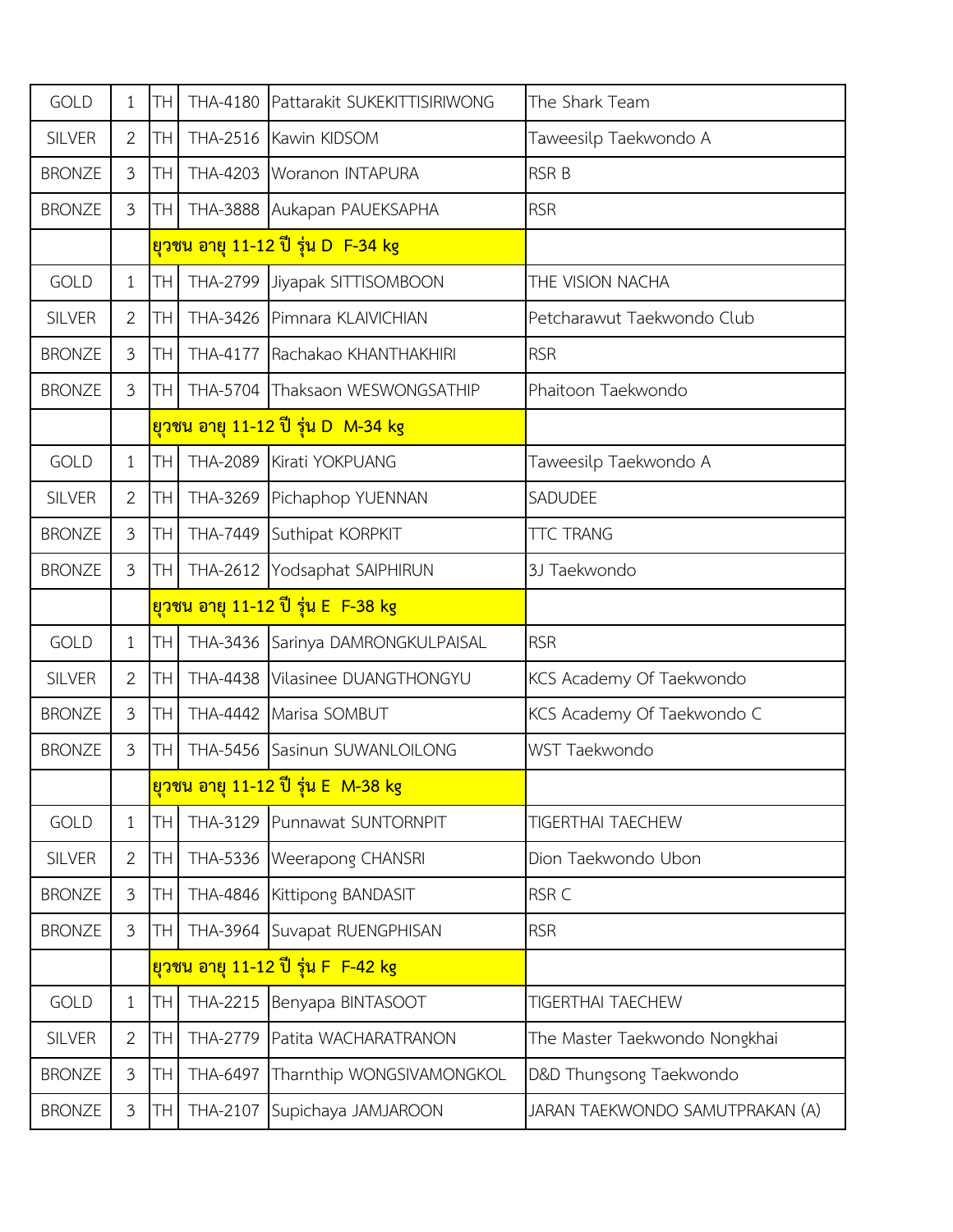| <b>GOLD</b>   | $\mathbf{1}$   | TН        |                 | THA-4180 Pattarakit SUKEKITTISIRIWONG     | The Shark Team                  |
|---------------|----------------|-----------|-----------------|-------------------------------------------|---------------------------------|
| <b>SILVER</b> | $\overline{2}$ | TН        |                 | THA-2516 Kawin KIDSOM                     | Taweesilp Taekwondo A           |
| <b>BRONZE</b> | $\mathfrak{Z}$ | TН        |                 | THA-4203 Woranon INTAPURA                 | <b>RSR B</b>                    |
| <b>BRONZE</b> | $\mathfrak{Z}$ | TH        |                 | THA-3888 Aukapan PAUEKSAPHA               | <b>RSR</b>                      |
|               |                |           |                 | ียวชน อายุ 11-12 ปี รุ่น D F-34 kg        |                                 |
| <b>GOLD</b>   | $\mathbf{1}$   | TН        |                 | THA-2799 Jiyapak SITTISOMBOON             | THE VISION NACHA                |
| <b>SILVER</b> | $\mathbf{2}$   | TН        |                 | THA-3426 Pimnara KLAIVICHIAN              | Petcharawut Taekwondo Club      |
| <b>BRONZE</b> | $\mathfrak{Z}$ | TН        | <b>THA-4177</b> | Rachakao KHANTHAKHIRI                     | <b>RSR</b>                      |
| <b>BRONZE</b> | $\overline{3}$ | TН        |                 | THA-5704 Thaksaon WESWONGSATHIP           | Phaitoon Taekwondo              |
|               |                |           |                 | ียวชน อายุ 11-12 ปี รุ่น D_M-34 kg        |                                 |
| <b>GOLD</b>   | $\mathbf{1}$   | <b>TH</b> | <b>THA-2089</b> | Kirati YOKPUANG                           | Taweesilp Taekwondo A           |
| <b>SILVER</b> | $\overline{2}$ | TН        |                 | THA-3269 Pichaphop YUENNAN                | SADUDEE                         |
| <b>BRONZE</b> | $\mathfrak{Z}$ | TН        |                 | THA-7449 Suthipat KORPKIT                 | <b>TTC TRANG</b>                |
| <b>BRONZE</b> | $\mathfrak{Z}$ | TН        |                 | THA-2612 Yodsaphat SAIPHIRUN              | 3J Taekwondo                    |
|               |                |           |                 | ยวชน อายุ 11-12 ปี รุ่น E F-38 kg         |                                 |
| <b>GOLD</b>   | $\mathbf{1}$   | TН        |                 | THA-3436 Sarinya DAMRONGKULPAISAL         | <b>RSR</b>                      |
| <b>SILVER</b> | $\overline{2}$ | TН        | <b>THA-4438</b> | Vilasinee DUANGTHONGYU                    | KCS Academy Of Taekwondo        |
| <b>BRONZE</b> | 3              | TН        | THA-4442        | Marisa SOMBUT                             | KCS Academy Of Taekwondo C      |
| <b>BRONZE</b> | $\mathfrak{Z}$ | TН        | <b>THA-5456</b> | Sasinun SUWANLOILONG                      | WST Taekwondo                   |
|               |                |           |                 | ียวชน อายุ 11-12 ปี รุ่น E M-38 kg        |                                 |
| <b>GOLD</b>   | $\mathbf{1}$   | TН        |                 | THA-3129 Punnawat SUNTORNPIT              | <b>TIGERTHAI TAECHEW</b>        |
| <b>SILVER</b> | $\overline{2}$ | TН        |                 | THA-5336 Weerapong CHANSRI                | Dion Taekwondo Ubon             |
| <b>BRONZE</b> | $\mathfrak{Z}$ | TН        |                 | THA-4846 Kittipong BANDASIT               | RSR C                           |
| <b>BRONZE</b> | 3              | TН        |                 | THA-3964 Suvapat RUENGPHISAN              | <b>RSR</b>                      |
|               |                |           |                 | <u>ยุวชน อายุ 11-12 ปี รุ่น F_F-42 kg</u> |                                 |
| <b>GOLD</b>   | $\mathbf{1}$   | TН        | THA-2215        | Benyapa BINTASOOT                         | <b>TIGERTHAI TAECHEW</b>        |
| <b>SILVER</b> | $\overline{2}$ | TН        | THA-2779        | Patita WACHARATRANON                      | The Master Taekwondo Nongkhai   |
| <b>BRONZE</b> | $\mathfrak{Z}$ | TН        | THA-6497        | Tharnthip WONGSIVAMONGKOL                 | D&D Thungsong Taekwondo         |
| <b>BRONZE</b> | $\mathfrak{Z}$ | TH        | THA-2107        | Supichaya JAMJAROON                       | JARAN TAEKWONDO SAMUTPRAKAN (A) |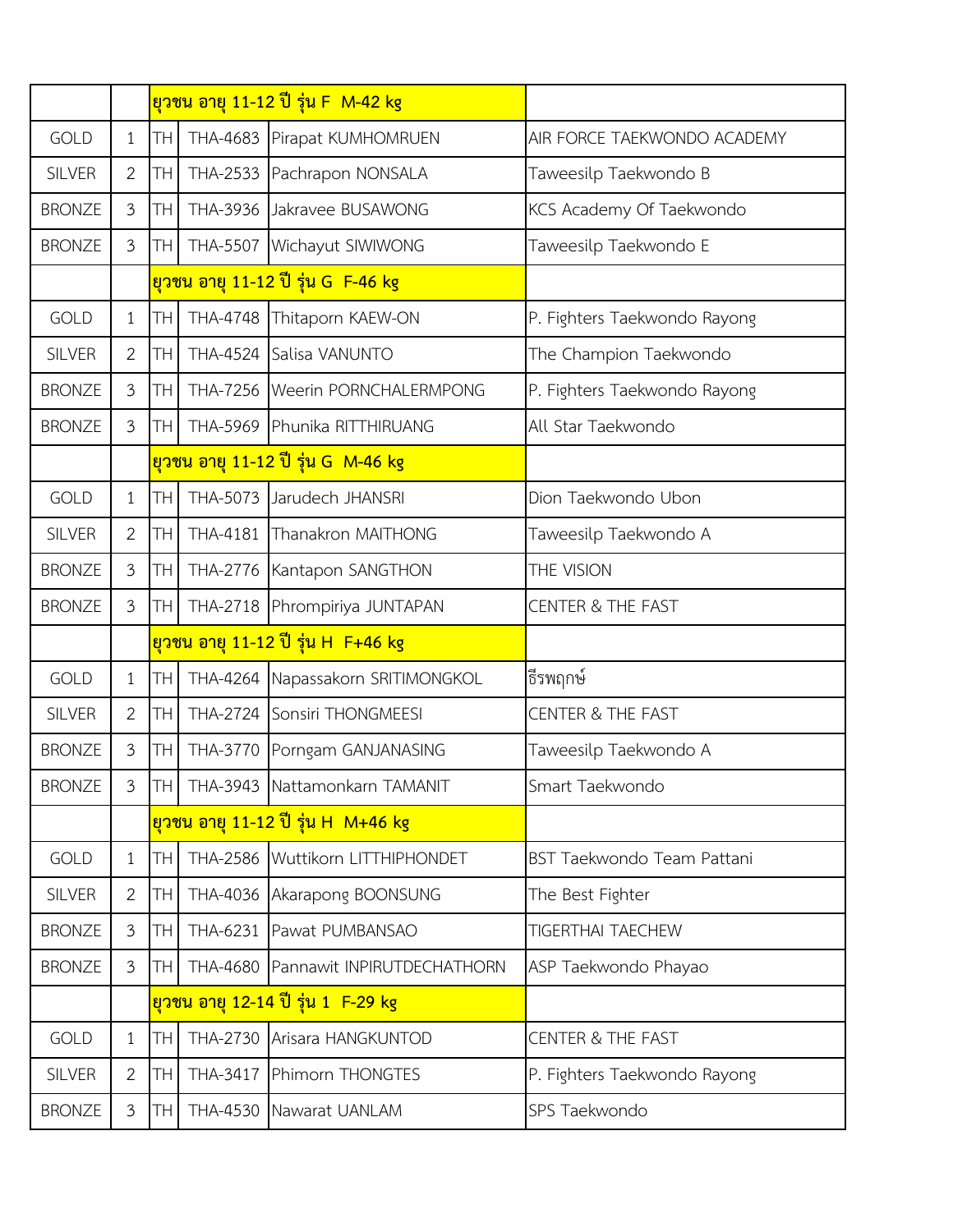|               |                |                 | <u>ยวชน อายุ 11-12 ปี รุ่น F_M-42 kg</u>          |                              |  |
|---------------|----------------|-----------------|---------------------------------------------------|------------------------------|--|
| <b>GOLD</b>   | $\mathbf{1}$   | <b>TH</b>       | THA-4683 Pirapat KUMHOMRUEN                       | AIR FORCE TAEKWONDO ACADEMY  |  |
| <b>SILVER</b> | $\overline{2}$ | TH              | THA-2533 Pachrapon NONSALA                        | Taweesilp Taekwondo B        |  |
| <b>BRONZE</b> | 3              | TH <sup></sup>  | THA-3936 Jakravee BUSAWONG                        | KCS Academy Of Taekwondo     |  |
| <b>BRONZE</b> | 3              | TH              | THA-5507 Wichayut SIWIWONG                        | Taweesilp Taekwondo E        |  |
|               |                |                 | ียวชน อายุ 11-12 ปี รุ่น G F-46 kg                |                              |  |
| <b>GOLD</b>   | $\mathbf{1}$   | <b>TH</b>       | THA-4748 Thitaporn KAEW-ON                        | P. Fighters Taekwondo Rayong |  |
| <b>SILVER</b> | $\overline{2}$ | <b>TH</b>       | THA-4524 Salisa VANUNTO                           | The Champion Taekwondo       |  |
| <b>BRONZE</b> | $\mathfrak{Z}$ | TH              | THA-7256   Weerin PORNCHALERMPONG                 | P. Fighters Taekwondo Rayong |  |
| <b>BRONZE</b> | 3              | TH <sub>1</sub> | THA-5969 Phunika RITTHIRUANG                      | All Star Taekwondo           |  |
|               |                |                 | <u>ยวชน อายุ 11-12 ปี รุ่น G M-46 kg</u>          |                              |  |
| <b>GOLD</b>   | $\mathbf{1}$   | TH              | THA-5073 Jarudech JHANSRI                         | Dion Taekwondo Ubon          |  |
| <b>SILVER</b> | $\overline{2}$ | <b>TH</b>       | THA-4181 Thanakron MAITHONG                       | Taweesilp Taekwondo A        |  |
| <b>BRONZE</b> | $\mathfrak{Z}$ | <b>TH</b>       | THA-2776 Kantapon SANGTHON                        | THE VISION                   |  |
| <b>BRONZE</b> | $\mathfrak{Z}$ | TH <sub>1</sub> | THA-2718 Phrompiriya JUNTAPAN                     | <b>CENTER &amp; THE FAST</b> |  |
|               |                |                 | ี <mark>ยวชน อายุ 11-12 ปี รุ่น H  F+46 kg</mark> |                              |  |
| <b>GOLD</b>   | $\mathbf{1}$   | TH.             | THA-4264 Napassakorn SRITIMONGKOL                 | ธีรพฤกษ์                     |  |
| <b>SILVER</b> | $\overline{2}$ | TH              | THA-2724 Sonsiri THONGMEESI                       | <b>CENTER &amp; THE FAST</b> |  |
| <b>BRONZE</b> | $\mathfrak{Z}$ | TH.             | THA-3770 Porngam GANJANASING                      | Taweesilp Taekwondo A        |  |
| <b>BRONZE</b> | $\mathfrak{Z}$ |                 | TH THA-3943 Nattamonkarn TAMANIT                  | Smart Taekwondo              |  |
|               |                |                 | <u>ยวชน อายุ 11-12 ปี รุ่น H_M+46 kg</u>          |                              |  |
| <b>GOLD</b>   | $\mathbf{1}$   | TH              | THA-2586 Wuttikorn LITTHIPHONDET                  | BST Taekwondo Team Pattani   |  |
| <b>SILVER</b> | $\overline{2}$ | TH              | THA-4036 Akarapong BOONSUNG                       | The Best Fighter             |  |
| <b>BRONZE</b> | 3              | TH <sub>1</sub> | THA-6231 Pawat PUMBANSAO                          | <b>TIGERTHAI TAECHEW</b>     |  |
| <b>BRONZE</b> | 3              | TH              | THA-4680 Pannawit INPIRUTDECHATHORN               | ASP Taekwondo Phayao         |  |
|               |                |                 | <u>ยวชน อายุ 12-14 ปี รุ่น 1 F-29 kg</u>          |                              |  |
| <b>GOLD</b>   | $\mathbf{1}$   | <b>TH</b>       | THA-2730 Arisara HANGKUNTOD                       | <b>CENTER &amp; THE FAST</b> |  |
| <b>SILVER</b> | $\overline{2}$ | <b>TH</b>       | THA-3417 Phimorn THONGTES                         | P. Fighters Taekwondo Rayong |  |
| <b>BRONZE</b> | $\mathfrak{Z}$ | TH.             | THA-4530 Nawarat UANLAM                           | SPS Taekwondo                |  |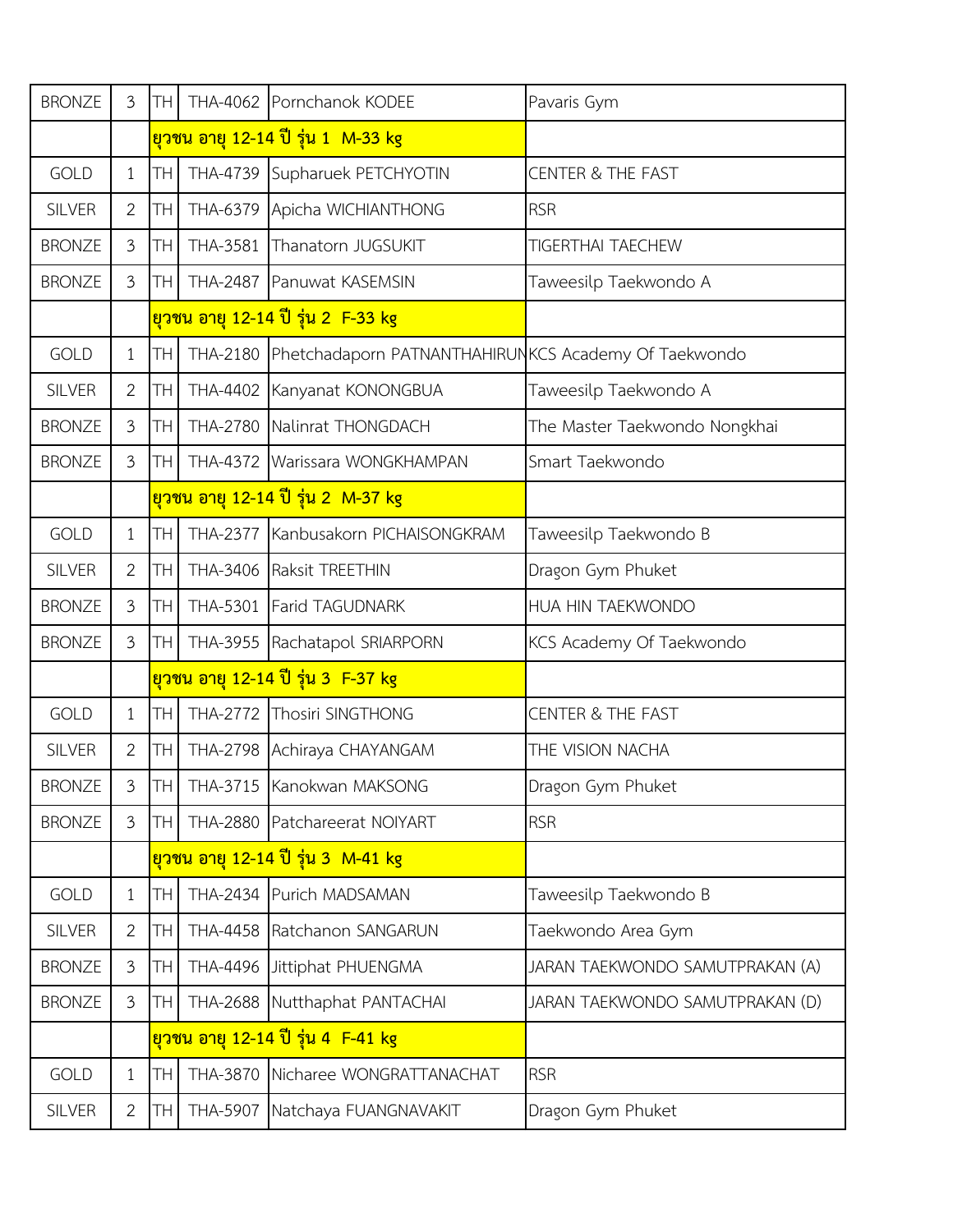| <b>BRONZE</b> | $\mathfrak{Z}$ | IТH             | THA-4062 Pornchanok KODEE                                     | Pavaris Gym                     |
|---------------|----------------|-----------------|---------------------------------------------------------------|---------------------------------|
|               |                |                 | ียวชน อายุ 12-14 ปี รุ่น 1  M-33 kg                           |                                 |
| <b>GOLD</b>   | $\mathbf{1}$   | TH <sub>1</sub> | THA-4739 Supharuek PETCHYOTIN                                 | <b>CENTER &amp; THE FAST</b>    |
| <b>SILVER</b> | $\overline{2}$ | TH <sub>1</sub> | THA-6379 Apicha WICHIANTHONG                                  | <b>RSR</b>                      |
| <b>BRONZE</b> | 3              | TH.             | THA-3581 Thanatorn JUGSUKIT                                   | <b>TIGERTHAI TAECHEW</b>        |
| <b>BRONZE</b> | $\mathfrak{Z}$ | <b>TH</b>       | THA-2487 Panuwat KASEMSIN                                     | Taweesilp Taekwondo A           |
|               |                |                 | <u>ยุวชน อายุ 12-14 ปี รุ่น 2 F-33 kg</u>                     |                                 |
| <b>GOLD</b>   | $\mathbf{1}$   | <b>TH</b>       | THA-2180 Phetchadaporn PATNANTHAHIRUNKCS Academy Of Taekwondo |                                 |
| <b>SILVER</b> | $\overline{2}$ | TH              | THA-4402 Kanyanat KONONGBUA                                   | Taweesilp Taekwondo A           |
| <b>BRONZE</b> | 3              | <b>TH</b>       | THA-2780 Nalinrat THONGDACH                                   | The Master Taekwondo Nongkhai   |
| <b>BRONZE</b> | 3              | TH <sub>1</sub> | THA-4372 Warissara WONGKHAMPAN                                | Smart Taekwondo                 |
|               |                |                 | <u>ยุวชน อายุ 12-14 ปี รุ่น 2  M-37 kg</u>                    |                                 |
| <b>GOLD</b>   | $\mathbf{1}$   | TH.             | THA-2377 Kanbusakorn PICHAISONGKRAM                           | Taweesilp Taekwondo B           |
| <b>SILVER</b> | $\overline{2}$ | TH <sub>1</sub> | THA-3406 Raksit TREETHIN                                      | Dragon Gym Phuket               |
| <b>BRONZE</b> | 3              | TH.             | THA-5301 Farid TAGUDNARK                                      | HUA HIN TAEKWONDO               |
| <b>BRONZE</b> | $\mathfrak{Z}$ | TH.             | THA-3955 Rachatapol SRIARPORN                                 | KCS Academy Of Taekwondo        |
|               |                |                 | <u>ยวชน อายุ 12-14 ปี รุ่น 3 F-37 kg</u>                      |                                 |
| <b>GOLD</b>   | 1              | TH.             | THA-2772 Thosiri SINGTHONG                                    | <b>CENTER &amp; THE FAST</b>    |
| <b>SILVER</b> | $\overline{2}$ | TH              | THA-2798 Achiraya CHAYANGAM                                   | THE VISION NACHA                |
| <b>BRONZE</b> | 3              |                 | <b>TH THA-3715 Kanokwan MAKSONG</b>                           | Dragon Gym Phuket               |
| <b>BRONZE</b> | $\mathfrak{Z}$ | TH I            | THA-2880 Patchareerat NOIYART                                 | <b>RSR</b>                      |
|               |                |                 | ียวชน อายุ 12-14 ปี รุ่น 3  M-41 kg                           |                                 |
| <b>GOLD</b>   | $\mathbf{1}$   | <b>TH</b>       | THA-2434 Purich MADSAMAN                                      | Taweesilp Taekwondo B           |
| <b>SILVER</b> | $\overline{2}$ | TH              | THA-4458 Ratchanon SANGARUN                                   | Taekwondo Area Gym              |
| <b>BRONZE</b> | 3              | TH <sub>1</sub> | THA-4496 Jittiphat PHUENGMA                                   | JARAN TAEKWONDO SAMUTPRAKAN (A) |
| <b>BRONZE</b> | 3              | <b>TH</b>       | THA-2688 Nutthaphat PANTACHAI                                 | JARAN TAEKWONDO SAMUTPRAKAN (D) |
|               |                |                 | <u>ยวชน อายุ 12-14 ปี รุ่น 4 F-41 kg</u>                      |                                 |
| <b>GOLD</b>   | $\mathbf{1}$   | TH              | THA-3870 Nicharee WONGRATTANACHAT                             | <b>RSR</b>                      |
| <b>SILVER</b> | $\overline{2}$ | TH.             | THA-5907 Natchaya FUANGNAVAKIT                                | Dragon Gym Phuket               |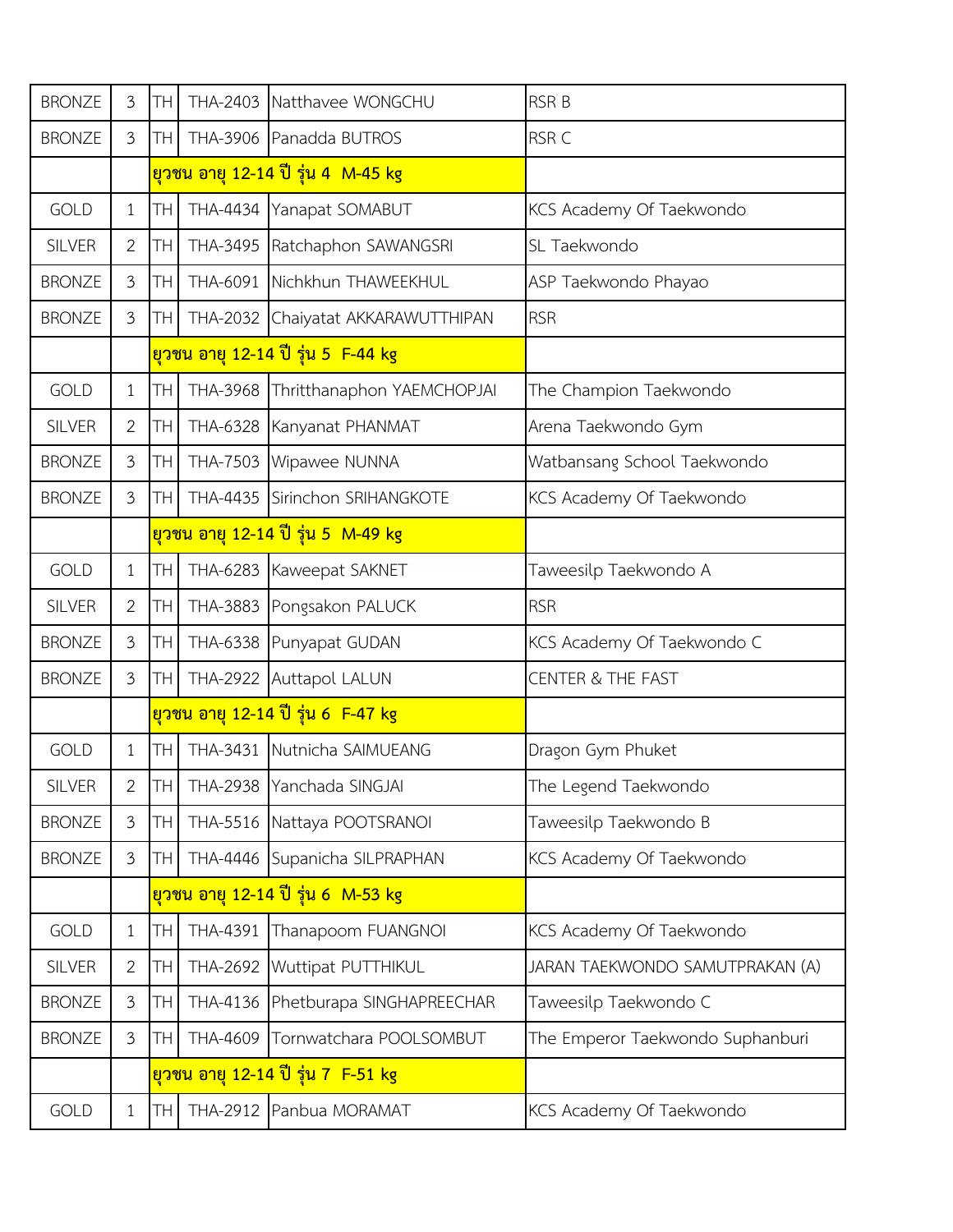| <b>BRONZE</b> | $\mathfrak{Z}$ | TН        | THA-2403 | Natthavee WONGCHU                          | <b>RSR B</b>                     |
|---------------|----------------|-----------|----------|--------------------------------------------|----------------------------------|
| <b>BRONZE</b> | $\mathfrak{Z}$ | <b>TH</b> |          | THA-3906 Panadda BUTROS                    | RSR C                            |
|               |                |           |          | ียวชน อายุ 12-14 ปี รุ่น 4 M-45 kg         |                                  |
| <b>GOLD</b>   | $\mathbf 1$    | TH        |          | THA-4434 Yanapat SOMABUT                   | KCS Academy Of Taekwondo         |
| <b>SILVER</b> | 2              | <b>TH</b> |          | THA-3495 Ratchaphon SAWANGSRI              | SL Taekwondo                     |
| <b>BRONZE</b> | 3              | <b>TH</b> | THA-6091 | Nichkhun THAWEEKHUL                        | ASP Taekwondo Phayao             |
| <b>BRONZE</b> | $\mathfrak{Z}$ | TН        |          | THA-2032 Chaiyatat AKKARAWUTTHIPAN         | <b>RSR</b>                       |
|               |                |           |          | <u>ยุวชน อายุ 12-14 ปี รุ่น 5 F-44 kg</u>  |                                  |
| <b>GOLD</b>   | $\mathbf{1}$   | TH        |          | THA-3968 Thritthanaphon YAEMCHOPJAI        | The Champion Taekwondo           |
| <b>SILVER</b> | 2              | <b>TH</b> |          | THA-6328 Kanyanat PHANMAT                  | Arena Taekwondo Gym              |
| <b>BRONZE</b> | 3              | <b>TH</b> |          | THA-7503 Wipawee NUNNA                     | Watbansang School Taekwondo      |
| <b>BRONZE</b> | 3              | <b>TH</b> |          | THA-4435 Sirinchon SRIHANGKOTE             | KCS Academy Of Taekwondo         |
|               |                |           |          | <u>ยวชน อายุ 12-14 ปี รุ่น 5 M-49 kg</u>   |                                  |
| <b>GOLD</b>   | $\mathbf{1}$   | <b>TH</b> |          | THA-6283 Kaweepat SAKNET                   | Taweesilp Taekwondo A            |
| <b>SILVER</b> | $\overline{2}$ | <b>TH</b> |          | THA-3883 Pongsakon PALUCK                  | <b>RSR</b>                       |
| <b>BRONZE</b> | $\overline{3}$ | <b>TH</b> |          | THA-6338 Punyapat GUDAN                    | KCS Academy Of Taekwondo C       |
| <b>BRONZE</b> | $\mathfrak{Z}$ | <b>TH</b> |          | THA-2922 Auttapol LALUN                    | <b>CENTER &amp; THE FAST</b>     |
|               |                |           |          | <u>ียวชน อายุ 12-14 ปี รุ่น 6  F-47 kg</u> |                                  |
| <b>GOLD</b>   | $\mathbf{1}$   | <b>TH</b> | THA-3431 | Nutnicha SAIMUEANG                         | Dragon Gym Phuket                |
| <b>SILVER</b> | 2              | <b>TH</b> |          | THA-2938 Yanchada SINGJAI                  | The Legend Taekwondo             |
| <b>BRONZE</b> | 3              | TH        |          | THA-5516 Nattaya POOTSRANOI                | Taweesilp Taekwondo B            |
| <b>BRONZE</b> | 3              | TН        |          | THA-4446 Supanicha SILPRAPHAN              | KCS Academy Of Taekwondo         |
|               |                |           |          | <u>ียวชน อายุ 12-14 ปี รุ่น 6 M-53 kg</u>  |                                  |
| <b>GOLD</b>   | $\mathbf{1}$   | <b>TH</b> | THA-4391 | Thanapoom FUANGNOI                         | KCS Academy Of Taekwondo         |
| <b>SILVER</b> | $\mathbf{2}$   | TH        |          | THA-2692 Wuttipat PUTTHIKUL                | JARAN TAEKWONDO SAMUTPRAKAN (A)  |
| <b>BRONZE</b> | $\mathfrak{Z}$ | TН        |          | THA-4136 Phetburapa SINGHAPREECHAR         | Taweesilp Taekwondo C            |
| <b>BRONZE</b> | 3              | TН        | THA-4609 | Tornwatchara POOLSOMBUT                    | The Emperor Taekwondo Suphanburi |
|               |                |           |          | <u>ยวชน อายุ 12-14 ปี รุ่น 7 F-51 kg</u>   |                                  |
| <b>GOLD</b>   | $\mathbf{1}$   | TН        |          | THA-2912 Panbua MORAMAT                    | KCS Academy Of Taekwondo         |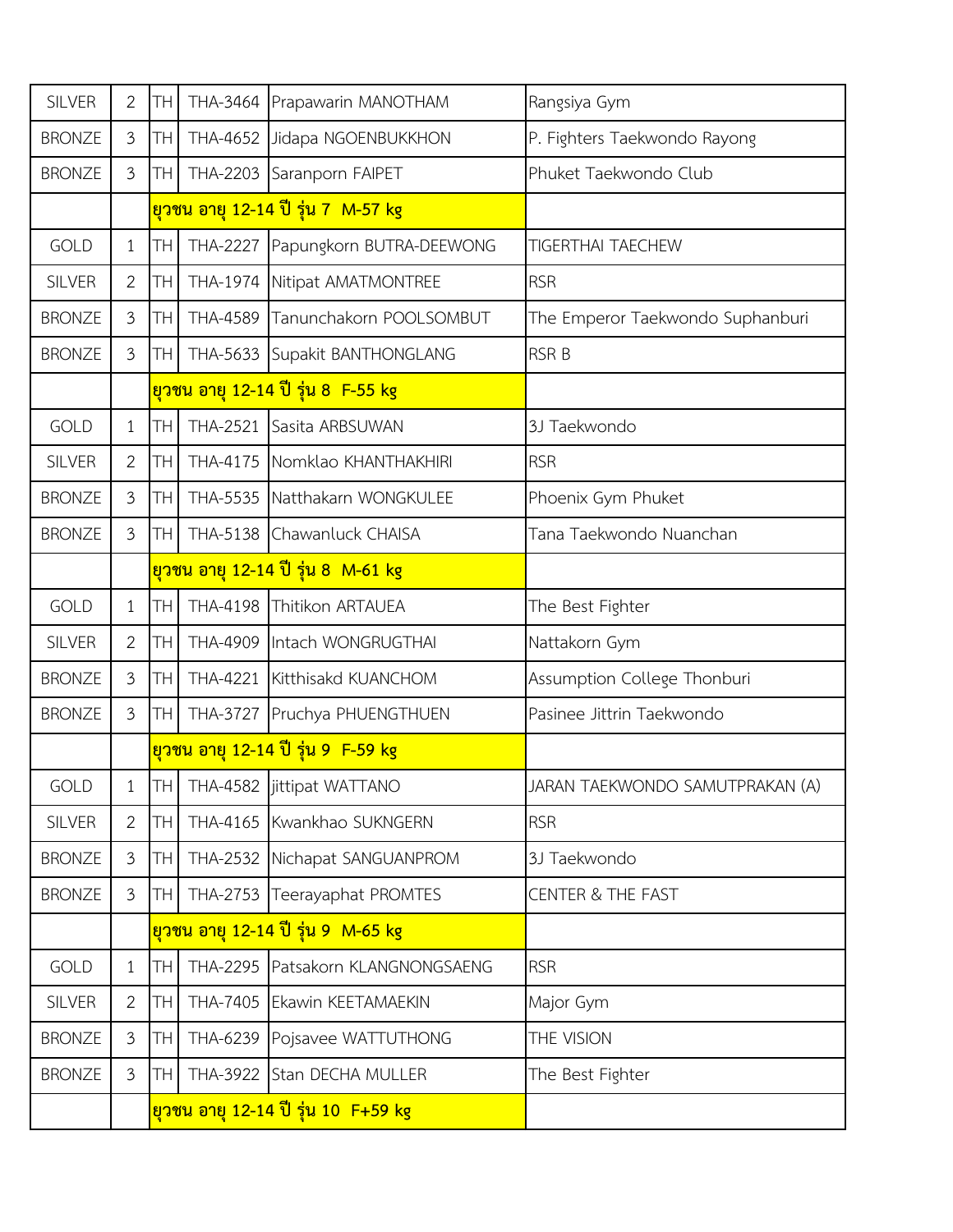| <b>SILVER</b> | $\overline{2}$ | <b>TH</b>   |                 | THA-3464 Prapawarin MANOTHAM              | Rangsiya Gym                     |
|---------------|----------------|-------------|-----------------|-------------------------------------------|----------------------------------|
| <b>BRONZE</b> | $\mathfrak{Z}$ | TН          | THA-4652        | Jidapa NGOENBUKKHON                       | P. Fighters Taekwondo Rayong     |
| <b>BRONZE</b> | $\mathfrak{Z}$ | TH          | THA-2203        | Saranporn FAIPET                          | Phuket Taekwondo Club            |
|               |                |             |                 | ียวชน อายุ 12-14 ปี รุ่น 7 M-57 kg        |                                  |
| <b>GOLD</b>   | $\mathbf{1}$   | <b>TH</b>   | <b>THA-2227</b> | Papungkorn BUTRA-DEEWONG                  | <b>TIGERTHAI TAECHEW</b>         |
| <b>SILVER</b> | $\overline{2}$ | TН          | THA-1974        | Nitipat AMATMONTREE                       | <b>RSR</b>                       |
| <b>BRONZE</b> | $\mathfrak{Z}$ | TН          | <b>THA-4589</b> | Tanunchakorn POOLSOMBUT                   | The Emperor Taekwondo Suphanburi |
| <b>BRONZE</b> | $\mathfrak{Z}$ | <b>TH</b>   |                 | THA-5633 Supakit BANTHONGLANG             | <b>RSR B</b>                     |
|               |                |             |                 | <u>ยวชน อายุ 12-14 ปี รุ่น 8  F-55 kg</u> |                                  |
| <b>GOLD</b>   | $\mathbf{1}$   | TH          | <b>THA-2521</b> | Sasita ARBSUWAN                           | 3J Taekwondo                     |
| <b>SILVER</b> | 2              | TН          | THA-4175        | Nomklao KHANTHAKHIRI                      | <b>RSR</b>                       |
| <b>BRONZE</b> | $\mathfrak{Z}$ | <b>TH</b>   |                 | THA-5535 Natthakarn WONGKULEE             | Phoenix Gym Phuket               |
| <b>BRONZE</b> | $\mathfrak{Z}$ | TH          |                 | THA-5138 Chawanluck CHAISA                | Tana Taekwondo Nuanchan          |
|               |                |             |                 | ียวชน อายุ 12-14 ปี รุ่น 8 M-61 kg        |                                  |
| <b>GOLD</b>   | $\mathbf{1}$   | <b>TH</b>   | THA-4198        | Thitikon ARTAUEA                          | The Best Fighter                 |
| <b>SILVER</b> | $\overline{2}$ | <b>TH</b>   |                 | THA-4909 Intach WONGRUGTHAI               | Nattakorn Gym                    |
| <b>BRONZE</b> | $\mathfrak{Z}$ | <b>TH</b>   |                 | THA-4221 Kitthisakd KUANCHOM              | Assumption College Thonburi      |
| <b>BRONZE</b> | $\mathfrak{Z}$ | TH          | <b>THA-3727</b> | Pruchya PHUENGTHUEN                       | Pasinee Jittrin Taekwondo        |
|               |                |             |                 | <u>ยวชน อายุ 12-14 ปี รุ่น 9 F-59 kg</u>  |                                  |
| GOLD          | $\mathbf{1}$   | <b>THI</b>  |                 | THA-4582 jittipat WATTANO                 | JARAN TAEKWONDO SAMUTPRAKAN (A)  |
| <b>SILVER</b> | $\overline{2}$ | <b>TH</b>   |                 | THA-4165 Kwankhao SUKNGERN                | <b>RSR</b>                       |
| <b>BRONZE</b> | $\mathfrak{Z}$ | TH          |                 | THA-2532 Nichapat SANGUANPROM             | 3J Taekwondo                     |
| <b>BRONZE</b> | $\mathfrak{Z}$ | <b>I</b> TH | <b>THA-2753</b> | Teerayaphat PROMTES                       | <b>CENTER &amp; THE FAST</b>     |
|               |                |             |                 | ี่ยวชน อายุ 12-14 ปี รุ่น 9  M-65 kg      |                                  |
| <b>GOLD</b>   | $\mathbf{1}$   | TH.         |                 | THA-2295 Patsakorn KLANGNONGSAENG         | <b>RSR</b>                       |
| <b>SILVER</b> | 2              | TH          | THA-7405        | <b>Ekawin KEETAMAEKIN</b>                 | Major Gym                        |
| <b>BRONZE</b> | $\mathfrak{Z}$ | ΤH          |                 | THA-6239 Pojsavee WATTUTHONG              | THE VISION                       |
| <b>BRONZE</b> | $\mathfrak{Z}$ | TH.         |                 | THA-3922 Stan DECHA MULLER                | The Best Fighter                 |
|               |                |             |                 | ียวชน อายุ 12-14 ปี รุ่น 10 F+59 kg       |                                  |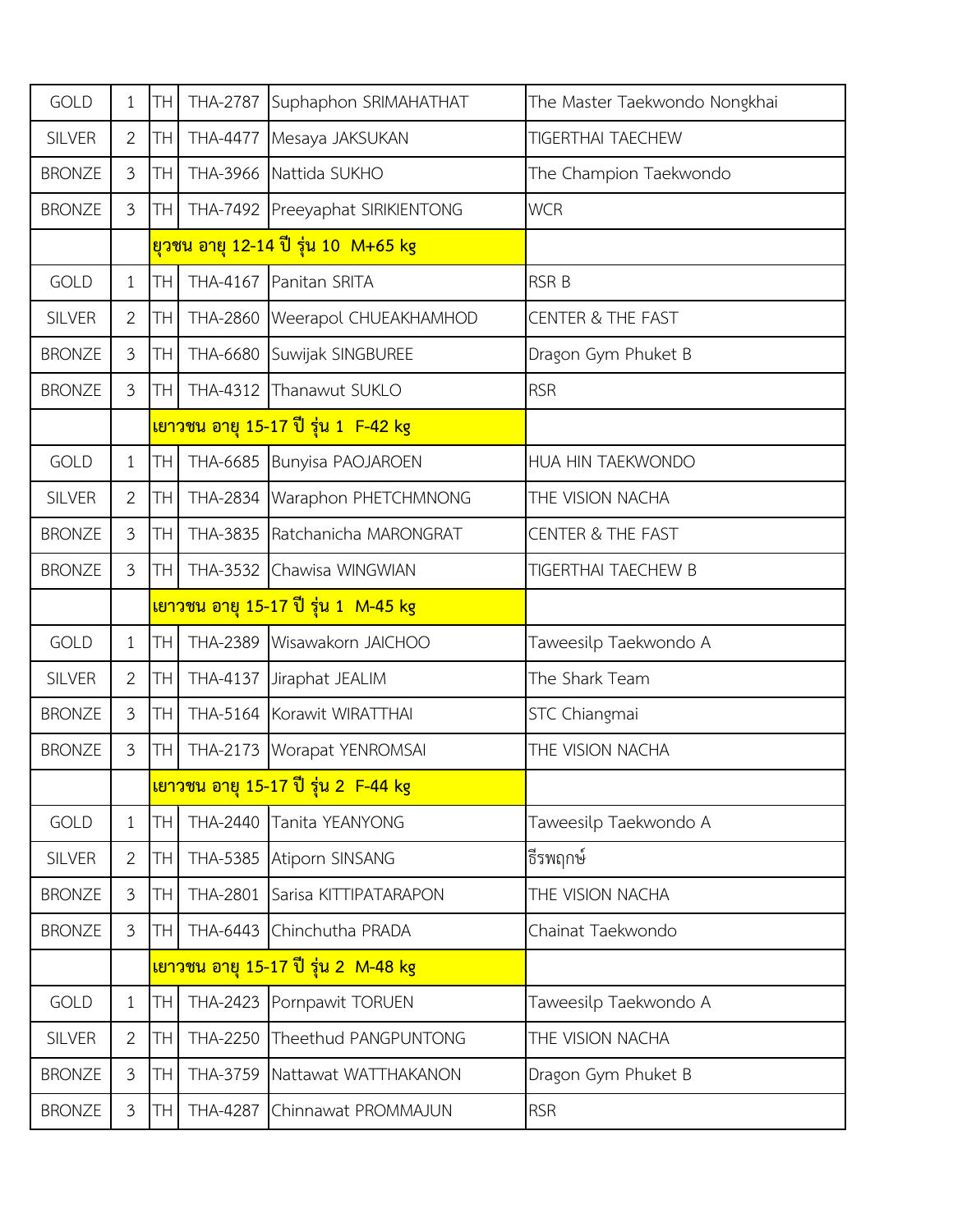| <b>GOLD</b>   | 1              | TH              | <b>THA-2787</b> | Suphaphon SRIMAHATHAT                            | The Master Taekwondo Nongkhai |
|---------------|----------------|-----------------|-----------------|--------------------------------------------------|-------------------------------|
| <b>SILVER</b> | $\overline{2}$ | TH              |                 | THA-4477 Mesaya JAKSUKAN                         | <b>TIGERTHAI TAECHEW</b>      |
| <b>BRONZE</b> | 3              | <b>TH</b>       |                 | THA-3966 Nattida SUKHO                           | The Champion Taekwondo        |
| <b>BRONZE</b> | $\mathfrak{Z}$ | TH              |                 | THA-7492 Preeyaphat SIRIKIENTONG                 | <b>WCR</b>                    |
|               |                |                 |                 | ียวชน อายุ 12-14 ปี รุ่น 10 M+65 kg              |                               |
| <b>GOLD</b>   | $\mathbf{1}$   | <b>TH</b>       |                 | THA-4167 Panitan SRITA                           | <b>RSR B</b>                  |
| <b>SILVER</b> | $\overline{2}$ | TH              |                 | THA-2860   Weerapol CHUEAKHAMHOD                 | <b>CENTER &amp; THE FAST</b>  |
| <b>BRONZE</b> | $\mathfrak{Z}$ | TH              |                 | THA-6680 Suwijak SINGBUREE                       | Dragon Gym Phuket B           |
| <b>BRONZE</b> | 3              | TH <sub>1</sub> |                 | THA-4312 Thanawut SUKLO                          | <b>RSR</b>                    |
|               |                |                 |                 | <u>ิเยาวชน อายุ 15-17 ปี รุ่น 1 F-42 kg</u>      |                               |
| <b>GOLD</b>   | $\mathbf{1}$   | TH.             |                 | THA-6685 Bunyisa PAOJAROEN                       | HUA HIN TAEKWONDO             |
| <b>SILVER</b> | $\overline{2}$ | TH.             |                 | THA-2834 Waraphon PHETCHMNONG                    | THE VISION NACHA              |
| <b>BRONZE</b> | $\mathfrak{Z}$ | TH              |                 | THA-3835 Ratchanicha MARONGRAT                   | <b>CENTER &amp; THE FAST</b>  |
| <b>BRONZE</b> | $\mathfrak{Z}$ | TH <sub>1</sub> |                 | THA-3532 Chawisa WINGWIAN                        | TIGERTHAI TAECHEW B           |
|               |                |                 |                 | <u>เยาวชน อายุ 15-17 ปี รุ่น 1 M-45 kg</u>       |                               |
| <b>GOLD</b>   | $\mathbf{1}$   | <b>TH</b>       |                 | THA-2389 Wisawakorn JAICHOO                      | Taweesilp Taekwondo A         |
| <b>SILVER</b> | $\overline{2}$ | <b>TH</b>       |                 | THA-4137 Jiraphat JEALIM                         | The Shark Team                |
| <b>BRONZE</b> | 3              | TH.             |                 | THA-5164 Korawit WIRATTHAI                       | STC Chiangmai                 |
| <b>BRONZE</b> | $\mathfrak{Z}$ | TH              |                 | THA-2173 Worapat YENROMSAI                       | THE VISION NACHA              |
|               |                |                 |                 | <mark>เยาวชน อายุ 15-17 ปี รุ่น 2 F-44 kg</mark> |                               |
| <b>GOLD</b>   | $\mathbf{1}$   | <b>TH</b>       |                 | THA-2440 Tanita YEANYONG                         | Taweesilp Taekwondo A         |
| <b>SILVER</b> | $\overline{2}$ | TH.             |                 | THA-5385 Atiporn SINSANG                         | ธีรพฤกษ์                      |
| <b>BRONZE</b> | 3              | TH.             |                 | THA-2801 Sarisa KITTIPATARAPON                   | THE VISION NACHA              |
| <b>BRONZE</b> | 3              | TH              |                 | THA-6443 Chinchutha PRADA                        | Chainat Taekwondo             |
|               |                |                 |                 | <u>เยาวชน อายุ 15-17 ปี รุ่น 2 M-48 kg</u>       |                               |
| <b>GOLD</b>   | $\mathbf{1}$   | <b>TH</b>       |                 | THA-2423 Pornpawit TORUEN                        | Taweesilp Taekwondo A         |
| <b>SILVER</b> | $\overline{2}$ | TН              | <b>THA-2250</b> | Theethud PANGPUNTONG                             | THE VISION NACHA              |
| <b>BRONZE</b> | $\mathfrak{Z}$ | TН              |                 | THA-3759 Nattawat WATTHAKANON                    | Dragon Gym Phuket B           |
| <b>BRONZE</b> | $\mathfrak{Z}$ | TH              |                 | THA-4287 Chinnawat PROMMAJUN                     | <b>RSR</b>                    |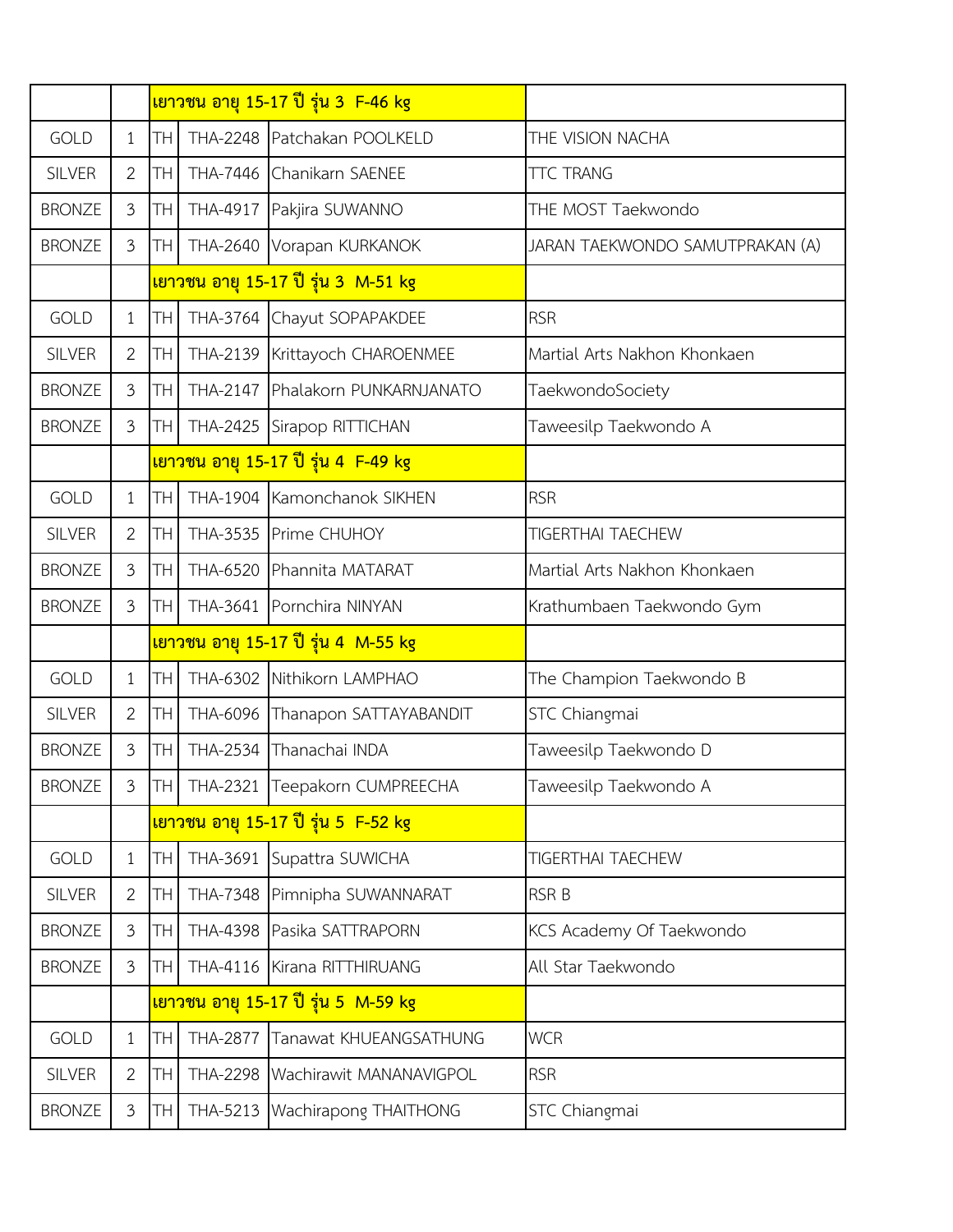|               |                |             |                 | เยาวชน อายุ 15-17 ปี รุ่น 3 F-46 kg           |                                 |
|---------------|----------------|-------------|-----------------|-----------------------------------------------|---------------------------------|
| <b>GOLD</b>   | 1              | <b>TH</b>   |                 | THA-2248 Patchakan POOLKELD                   | THE VISION NACHA                |
| <b>SILVER</b> | $\overline{2}$ | TН          |                 | THA-7446 Chanikarn SAENEE                     | <b>TTC TRANG</b>                |
| <b>BRONZE</b> | $\mathfrak{Z}$ | TН          | THA-4917        | Pakjira SUWANNO                               | THE MOST Taekwondo              |
| <b>BRONZE</b> | 3              | TН          |                 | THA-2640 Vorapan KURKANOK                     | JARAN TAEKWONDO SAMUTPRAKAN (A) |
|               |                |             |                 | <u>ี่เยาวชน อายุ 15-17 ปี รุ่น 3  M-51 kg</u> |                                 |
| <b>GOLD</b>   | 1              | TН          |                 | THA-3764 Chayut SOPAPAKDEE                    | <b>RSR</b>                      |
| <b>SILVER</b> | 2              | TН          |                 | THA-2139 Krittayoch CHAROENMEE                | Martial Arts Nakhon Khonkaen    |
| <b>BRONZE</b> | $\overline{3}$ | TН          | <b>THA-2147</b> | Phalakorn PUNKARNJANATO                       | TaekwondoSociety                |
| <b>BRONZE</b> | $\mathfrak{Z}$ | TН          | <b>THA-2425</b> | Sirapop RITTICHAN                             | Taweesilp Taekwondo A           |
|               |                |             |                 | <u>เยาวชน อายุ 15-17 ปี รุ่น 4  F-49 kg</u>   |                                 |
| <b>GOLD</b>   | 1              | TH          |                 | THA-1904 Kamonchanok SIKHEN                   | <b>RSR</b>                      |
| <b>SILVER</b> | $\overline{2}$ | TН          |                 | THA-3535 Prime CHUHOY                         | <b>TIGERTHAI TAECHEW</b>        |
| <b>BRONZE</b> | $\mathfrak{Z}$ | TН          | THA-6520        | Phannita MATARAT                              | Martial Arts Nakhon Khonkaen    |
| <b>BRONZE</b> | $\overline{3}$ | TН          |                 | THA-3641 Pornchira NINYAN                     | Krathumbaen Taekwondo Gym       |
|               |                |             |                 | <u>เยาวชน อายุ 15-17 ปี รุ่น 4 M-55 kg</u>    |                                 |
| <b>GOLD</b>   | 1              | <b>TH</b>   |                 | THA-6302 Nithikorn LAMPHAO                    | The Champion Taekwondo B        |
| <b>SILVER</b> | 2              | TН          |                 | THA-6096 Thanapon SATTAYABANDIT               | STC Chiangmai                   |
| <b>BRONZE</b> | $\mathfrak{Z}$ | TН          | THA-2534        | Thanachai INDA                                | Taweesilp Taekwondo D           |
| <b>BRONZE</b> | 3              | <b>ITHI</b> |                 | THA-2321 Teepakorn CUMPREECHA                 | Taweesilp Taekwondo A           |
|               |                |             |                 | <u>เยาวชน อายุ 15-17 ปี รุ่น 5 F-52 kg</u>    |                                 |
| <b>GOLD</b>   | 1              | <b>TH</b>   | THA-3691        | Supattra SUWICHA                              | TIGERTHAI TAECHEW               |
| <b>SILVER</b> | $\overline{2}$ | TH          | <b>THA-7348</b> | Pimnipha SUWANNARAT                           | <b>RSR B</b>                    |
| <b>BRONZE</b> | $\mathfrak{Z}$ | TН          |                 | THA-4398 Pasika SATTRAPORN                    | KCS Academy Of Taekwondo        |
| <b>BRONZE</b> | 3              | TH          |                 | THA-4116 Kirana RITTHIRUANG                   | All Star Taekwondo              |
|               |                |             |                 | <u>เยาวชน อายุ 15-17 ปี รุ่น 5 M-59 kg</u>    |                                 |
| <b>GOLD</b>   | 1              | TН          | <b>THA-2877</b> | Tanawat KHUEANGSATHUNG                        | <b>WCR</b>                      |
| <b>SILVER</b> | $\overline{2}$ | TН          |                 | THA-2298 Wachirawit MANANAVIGPOL              | <b>RSR</b>                      |
| <b>BRONZE</b> | $\mathfrak{Z}$ | TН          | THA-5213        | Wachirapong THAITHONG                         | STC Chiangmai                   |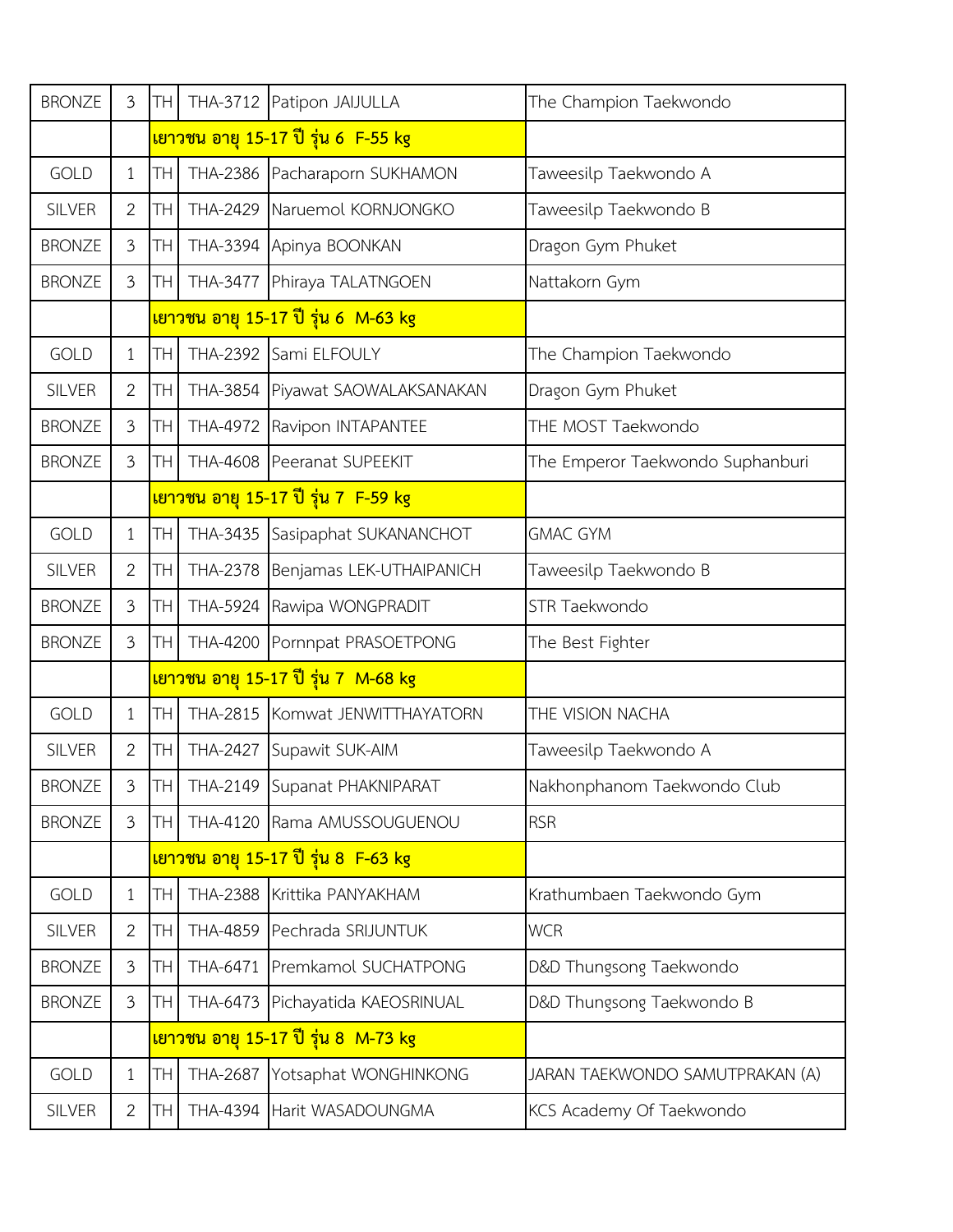| <b>BRONZE</b> | 3              | <b>TH</b>       |                 | THA-3712 Patipon JAIJULLA                  | The Champion Taekwondo           |
|---------------|----------------|-----------------|-----------------|--------------------------------------------|----------------------------------|
|               |                |                 |                 | เยาวชน อายุ 15-17 ปี รุ่น 6 F-55 kg        |                                  |
| <b>GOLD</b>   | $\mathbf{1}$   | TH.             |                 | THA-2386 Pacharaporn SUKHAMON              | Taweesilp Taekwondo A            |
| <b>SILVER</b> | $\overline{2}$ | TH I            |                 | THA-2429 Naruemol KORNJONGKO               | Taweesilp Taekwondo B            |
| <b>BRONZE</b> | 3              | <b>TH</b>       |                 | THA-3394 Apinya BOONKAN                    | Dragon Gym Phuket                |
| <b>BRONZE</b> | $\mathfrak{Z}$ | <b>TH</b>       |                 | THA-3477 Phiraya TALATNGOEN                | Nattakorn Gym                    |
|               |                |                 |                 | เยาวชน อายุ 15-17 ปี รุ่น 6 M-63 kg        |                                  |
| <b>GOLD</b>   | $\mathbf{1}$   | TH.             |                 | THA-2392 Sami ELFOULY                      | The Champion Taekwondo           |
| <b>SILVER</b> | $\overline{2}$ | TH <sub>1</sub> |                 | THA-3854 Piyawat SAOWALAKSANAKAN           | Dragon Gym Phuket                |
| <b>BRONZE</b> | 3              | TH I            |                 | THA-4972 Ravipon INTAPANTEE                | THE MOST Taekwondo               |
| <b>BRONZE</b> | 3              | TH              |                 | THA-4608 Peeranat SUPEEKIT                 | The Emperor Taekwondo Suphanburi |
|               |                |                 |                 | <u>เยาวชน อายุ 15-17 ปี รุ่น 7 F-59 kg</u> |                                  |
| <b>GOLD</b>   | $\mathbf{1}$   | TH.             |                 | THA-3435 Sasipaphat SUKANANCHOT            | <b>GMAC GYM</b>                  |
| <b>SILVER</b> | $\overline{2}$ | <b>TH</b>       |                 | THA-2378 Benjamas LEK-UTHAIPANICH          | Taweesilp Taekwondo B            |
| <b>BRONZE</b> | $\mathfrak{Z}$ | TH.             |                 | THA-5924 Rawipa WONGPRADIT                 | STR Taekwondo                    |
| <b>BRONZE</b> | $\mathfrak{Z}$ | <b>TH</b>       |                 | THA-4200 Pornnpat PRASOETPONG              | The Best Fighter                 |
|               |                |                 |                 | <u>เยาวชน อายุ 15-17 ปี รุ่น 7 M-68 kg</u> |                                  |
| <b>GOLD</b>   | $\mathbf{1}$   | TH.             |                 | THA-2815 Komwat JENWITTHAYATORN            | THE VISION NACHA                 |
| <b>SILVER</b> | $\overline{2}$ | TH              | <b>THA-2427</b> | Supawit SUK-AIM                            | Taweesilp Taekwondo A            |
| <b>BRONZE</b> | 3              |                 |                 | TH   THA-2149 Supanat PHAKNIPARAT          | Nakhonphanom Taekwondo Club      |
| <b>BRONZE</b> | $\mathfrak{Z}$ | TH <sub>1</sub> |                 | THA-4120 Rama AMUSSOUGUENOU                | <b>RSR</b>                       |
|               |                |                 |                 | <u>เยาวชน อายุ 15-17 ปี รุ่น 8 F-63 kg</u> |                                  |
| <b>GOLD</b>   | $\mathbf{1}$   | TH              |                 | THA-2388 Krittika PANYAKHAM                | Krathumbaen Taekwondo Gym        |
| <b>SILVER</b> | $\overline{2}$ | TH              |                 | THA-4859 Pechrada SRIJUNTUK                | <b>WCR</b>                       |
| <b>BRONZE</b> | 3              | TH I            |                 | THA-6471 Premkamol SUCHATPONG              | D&D Thungsong Taekwondo          |
| <b>BRONZE</b> | 3              | TH              |                 | THA-6473 Pichayatida KAEOSRINUAL           | D&D Thungsong Taekwondo B        |
|               |                |                 |                 | <u>เยาวชน อายุ 15-17 ปี รุ่น 8 M-73 kg</u> |                                  |
| <b>GOLD</b>   | $\mathbf{1}$   | TH              |                 | THA-2687 Yotsaphat WONGHINKONG             | JARAN TAEKWONDO SAMUTPRAKAN (A)  |
| <b>SILVER</b> | $\overline{2}$ | TH.             |                 | THA-4394 Harit WASADOUNGMA                 | KCS Academy Of Taekwondo         |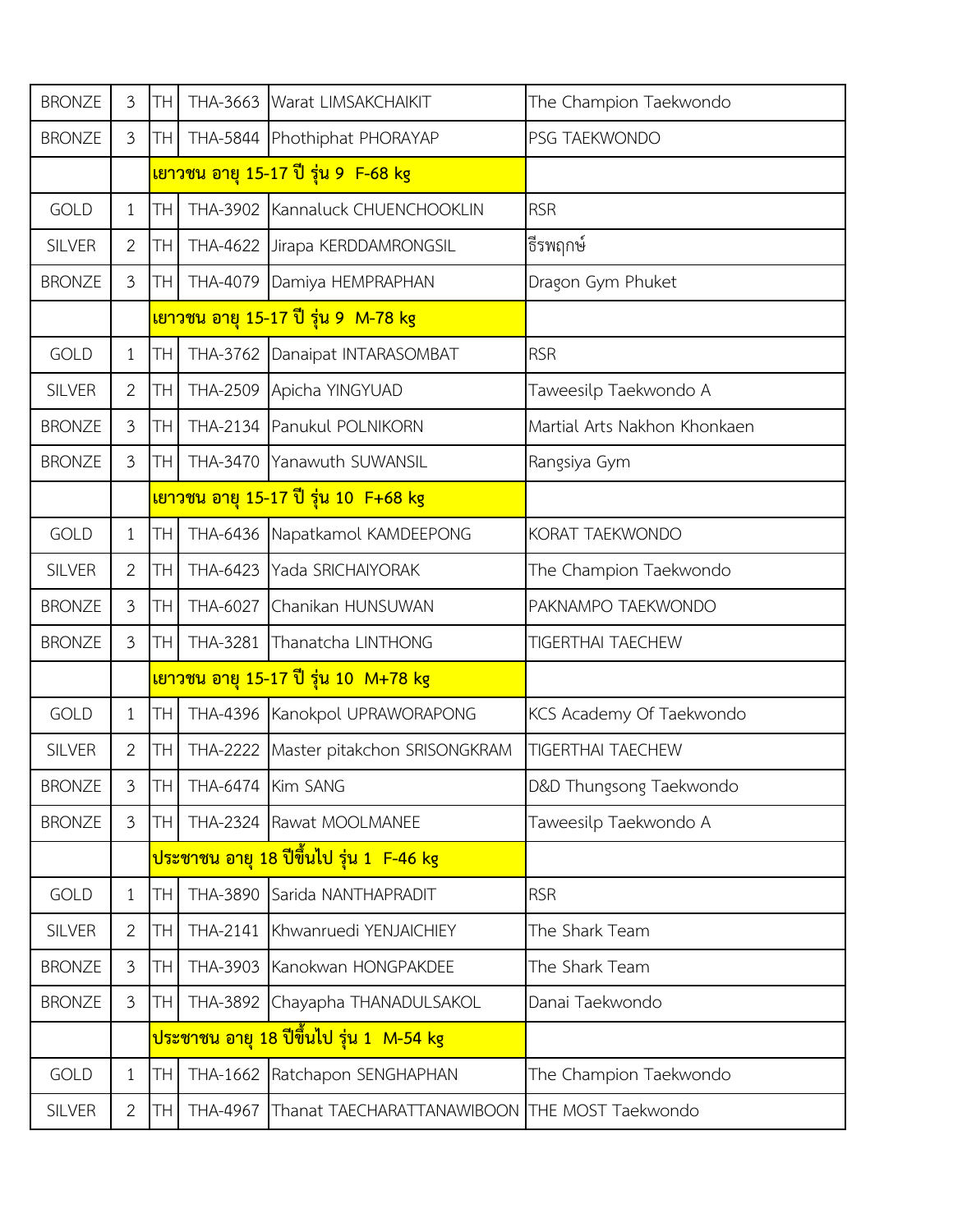| <b>BRONZE</b> | $\mathfrak{Z}$ | TН              |                 | THA-3663 Warat LIMSAKCHAIKIT                          | The Champion Taekwondo       |
|---------------|----------------|-----------------|-----------------|-------------------------------------------------------|------------------------------|
| <b>BRONZE</b> | $\mathfrak{Z}$ | TН              |                 | THA-5844 Phothiphat PHORAYAP                          | PSG TAEKWONDO                |
|               |                |                 |                 | <u>เยาวชน อายุ 15-17 ปี รุ่น 9  F-68 kg</u>           |                              |
| <b>GOLD</b>   | $\mathbf{1}$   | TН              |                 | THA-3902 Kannaluck CHUENCHOOKLIN                      | <b>RSR</b>                   |
| <b>SILVER</b> | 2              | TН              |                 | THA-4622 Jirapa KERDDAMRONGSIL                        | ธีรพฤกษ์                     |
| <b>BRONZE</b> | $\mathfrak{Z}$ | TН              |                 | THA-4079 Damiya HEMPRAPHAN                            | Dragon Gym Phuket            |
|               |                |                 |                 | <mark>เยาวชน อายุ 15-17 ปี รุ่น 9 M-78 kg</mark>      |                              |
| <b>GOLD</b>   | $\mathbf{1}$   | TΗ              |                 | THA-3762 Danaipat INTARASOMBAT                        | <b>RSR</b>                   |
| <b>SILVER</b> | 2              | TН              |                 | THA-2509 Apicha YINGYUAD                              | Taweesilp Taekwondo A        |
| <b>BRONZE</b> | $\mathfrak{Z}$ | TН              |                 | THA-2134 Panukul POLNIKORN                            | Martial Arts Nakhon Khonkaen |
| <b>BRONZE</b> | $\mathfrak{Z}$ | TΗ              |                 | THA-3470 Yanawuth SUWANSIL                            | Rangsiya Gym                 |
|               |                |                 |                 | ี <mark>เยาวชน อายุ 15-17 ปี รุ่น 10 F+68 kg</mark>   |                              |
| <b>GOLD</b>   | $\mathbf{1}$   | TΗ              | THA-6436        | Napatkamol KAMDEEPONG                                 | KORAT TAEKWONDO              |
| <b>SILVER</b> | $\overline{2}$ | TН              | THA-6423        | Yada SRICHAIYORAK                                     | The Champion Taekwondo       |
| <b>BRONZE</b> | $\mathfrak{Z}$ | TΗ              | THA-6027        | Chanikan HUNSUWAN                                     | PAKNAMPO TAEKWONDO           |
| <b>BRONZE</b> | $\mathfrak{Z}$ | <b>TH</b>       | THA-3281        | Thanatcha LINTHONG                                    | <b>TIGERTHAI TAECHEW</b>     |
|               |                |                 |                 | <u>ีเยาวชน อายุ 15-17 ปี รุ่น 10  M+78 kg</u>         |                              |
| <b>GOLD</b>   | $\mathbf{1}$   | TН              |                 | THA-4396 Kanokpol UPRAWORAPONG                        | KCS Academy Of Taekwondo     |
| <b>SILVER</b> | $\overline{2}$ | TН              | <b>THA-2222</b> | Master pitakchon SRISONGKRAM                          | <b>TIGERTHAI TAECHEW</b>     |
| <b>BRONZE</b> | 3              | TH <sup>1</sup> |                 | THA-6474 Kim SANG                                     | D&D Thungsong Taekwondo      |
| <b>BRONZE</b> | 3              | TH.             |                 | THA-2324 Rawat MOOLMANEE                              | Taweesilp Taekwondo A        |
|               |                |                 |                 | <mark>ประชาชน อายุ 18 ปีขึ้นไป รุ่น 1 F-46 kg</mark>  |                              |
| <b>GOLD</b>   | $\mathbf{1}$   | TН              |                 | THA-3890 Sarida NANTHAPRADIT                          | <b>RSR</b>                   |
| SILVER        | $\mathbf{2}$   | TН              | THA-2141        | Khwanruedi YENJAICHIEY                                | The Shark Team               |
| <b>BRONZE</b> | $\mathfrak{Z}$ | TН              | THA-3903        | Kanokwan HONGPAKDEE                                   | The Shark Team               |
| <b>BRONZE</b> | 3              | TH              |                 | THA-3892 Chayapha THANADULSAKOL                       | Danai Taekwondo              |
|               |                |                 |                 | <mark>ประชาชน อายุ 18 ปีขึ้นไป รุ่น 1  M-54 kg</mark> |                              |
| <b>GOLD</b>   | $\mathbf{1}$   | TН              |                 | THA-1662 Ratchapon SENGHAPHAN                         | The Champion Taekwondo       |
| SILVER        | $\mathbf{2}$   | <b>TH</b>       | THA-4967        | Thanat TAECHARATTANAWIBOON THE MOST Taekwondo         |                              |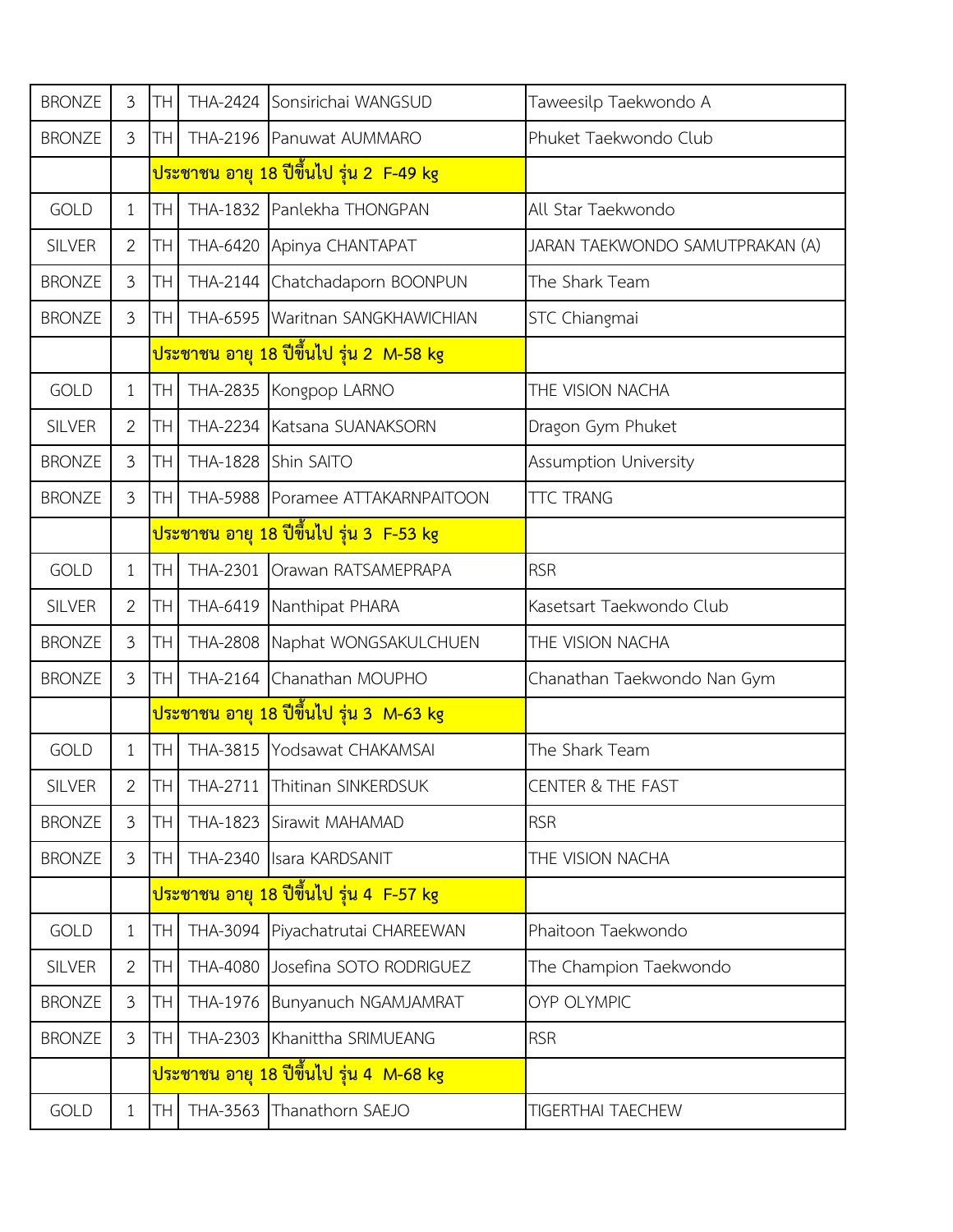| <b>BRONZE</b> | $\mathfrak{Z}$ | TН        | THA-2424        | Sonsirichai WANGSUD                                   | Taweesilp Taekwondo A           |
|---------------|----------------|-----------|-----------------|-------------------------------------------------------|---------------------------------|
| <b>BRONZE</b> | $\overline{3}$ | TН        |                 | THA-2196 Panuwat AUMMARO                              | Phuket Taekwondo Club           |
|               |                |           |                 | <u>ิประชาชน อายุ 18 ปีขึ้นไป รุ่น 2  F-49 kg</u>      |                                 |
| <b>GOLD</b>   | $\mathbf{1}$   | TΗ        |                 | THA-1832 Panlekha THONGPAN                            | All Star Taekwondo              |
| <b>SILVER</b> | 2              | TН        |                 | THA-6420 Apinya CHANTAPAT                             | JARAN TAEKWONDO SAMUTPRAKAN (A) |
| <b>BRONZE</b> | $\mathfrak{Z}$ | TН        |                 | THA-2144 Chatchadaporn BOONPUN                        | The Shark Team                  |
| <b>BRONZE</b> | $\mathfrak{Z}$ | TН        |                 | THA-6595   Waritnan SANGKHAWICHIAN                    | STC Chiangmai                   |
|               |                |           |                 | <mark>ประชาชน อายุ 18 ปีขึ้นไป รุ่น 2  M-58 kg</mark> |                                 |
| <b>GOLD</b>   | $\mathbf{1}$   | TΗ        | THA-2835        | Kongpop LARNO                                         | THE VISION NACHA                |
| <b>SILVER</b> | 2              | TН        | THA-2234        | Katsana SUANAKSORN                                    | Dragon Gym Phuket               |
| <b>BRONZE</b> | $\mathfrak{Z}$ | TН        | <b>THA-1828</b> | Shin SAITO                                            | Assumption University           |
| <b>BRONZE</b> | 3              | TΗ        |                 | THA-5988 Poramee ATTAKARNPAITOON                      | <b>TTC TRANG</b>                |
|               |                |           |                 | <u>ประชาชน อายุ 18 ปีขึ้นไป รุ่น 3  F-53 kg</u>       |                                 |
| <b>GOLD</b>   | $\mathbf{1}$   | TН        | THA-2301        | Orawan RATSAMEPRAPA                                   | <b>RSR</b>                      |
| <b>SILVER</b> | $\overline{2}$ | TΗ        | THA-6419        | Nanthipat PHARA                                       | Kasetsart Taekwondo Club        |
| <b>BRONZE</b> | $\mathfrak{Z}$ | TН        | <b>THA-2808</b> | Naphat WONGSAKULCHUEN                                 | THE VISION NACHA                |
| <b>BRONZE</b> | $\mathfrak{Z}$ | TΗ        | THA-2164        | Chanathan MOUPHO                                      | Chanathan Taekwondo Nan Gym     |
|               |                |           |                 | <mark>ประชาชน อายุ 18 ปีขึ้นไป รุ่น 3  M-63 kg</mark> |                                 |
| <b>GOLD</b>   | $\mathbf{1}$   | TН        | THA-3815        | Yodsawat CHAKAMSAI                                    | The Shark Team                  |
| <b>SILVER</b> | 2              | THI       |                 | THA-2711 Thitinan SINKERDSUK                          | <b>CENTER &amp; THE FAST</b>    |
| <b>BRONZE</b> | 3              | <b>TH</b> |                 | THA-1823 Sirawit MAHAMAD                              | <b>RSR</b>                      |
| <b>BRONZE</b> | 3              | TH        |                 | THA-2340 Isara KARDSANIT                              | THE VISION NACHA                |
|               |                |           |                 | <mark>ประชาชน อายุ 18 ปีขึ้นไป รุ่น 4  F-57 kg</mark> |                                 |
| <b>GOLD</b>   | $\mathbf{1}$   | TН        | THA-3094        | Piyachatrutai CHAREEWAN                               | Phaitoon Taekwondo              |
| <b>SILVER</b> | $\overline{2}$ | TН        |                 | THA-4080 Josefina SOTO RODRIGUEZ                      | The Champion Taekwondo          |
| <b>BRONZE</b> | 3              | TН        |                 | THA-1976 Bunyanuch NGAMJAMRAT                         | <b>OYP OLYMPIC</b>              |
| <b>BRONZE</b> | 3              | TН        | THA-2303        | Khanittha SRIMUEANG                                   | <b>RSR</b>                      |
|               |                |           |                 | <u>ประชาชน อายุ 18 ปีขึ้นไป รุ่น 4  M-68 kg</u>       |                                 |
| GOLD          | $\mathbf{1}$   | TH        |                 | THA-3563 Thanathorn SAEJO                             | TIGERTHAI TAECHEW               |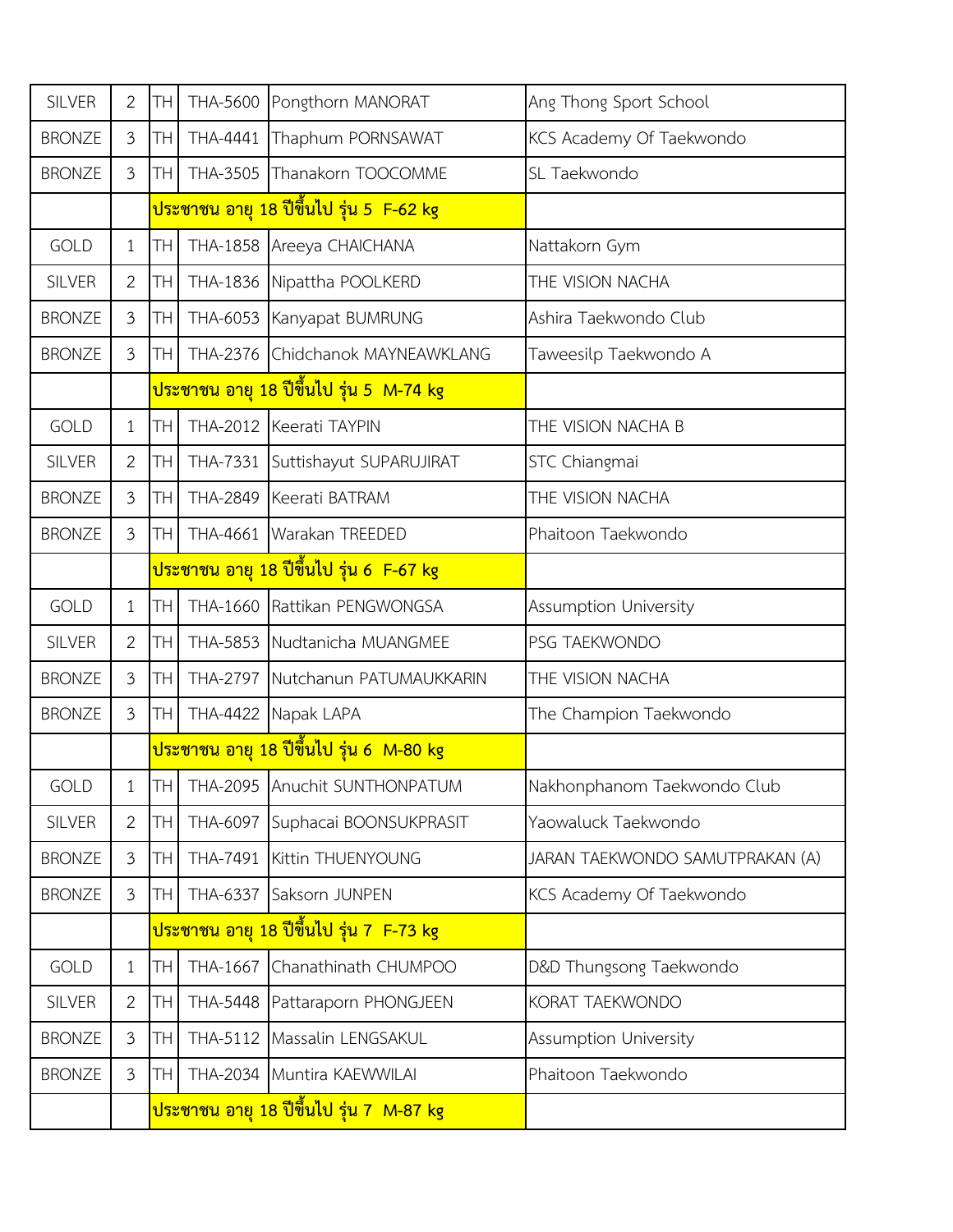| <b>SILVER</b> | $\overline{2}$ | TН | THA-5600        | Pongthorn MANORAT                                       | Ang Thong Sport School          |
|---------------|----------------|----|-----------------|---------------------------------------------------------|---------------------------------|
| <b>BRONZE</b> | $\mathfrak{Z}$ | TН | THA-4441        | Thaphum PORNSAWAT                                       | KCS Academy Of Taekwondo        |
| <b>BRONZE</b> | $\mathfrak{Z}$ | TН |                 | THA-3505 Thanakorn TOOCOMME                             | SL Taekwondo                    |
|               |                |    |                 | <mark>ประชาชน อายุ 18 ปีขึ้นไป รุ่น 5 F-62 kg</mark>    |                                 |
| <b>GOLD</b>   | $\mathbf{1}$   | TН |                 | THA-1858 Areeya CHAICHANA                               | Nattakorn Gym                   |
| <b>SILVER</b> | $\overline{2}$ | TН |                 | THA-1836 Nipattha POOLKERD                              | THE VISION NACHA                |
| <b>BRONZE</b> | $\mathfrak{Z}$ | TН |                 | THA-6053 Kanyapat BUMRUNG                               | Ashira Taekwondo Club           |
| <b>BRONZE</b> | $\mathfrak{Z}$ | TΗ |                 | THA-2376 Chidchanok MAYNEAWKLANG                        | Taweesilp Taekwondo A           |
|               |                |    |                 | <u>ประชาชน อายุ 18 ปีขึ้นไป รุ่น 5  M-74 kg</u>         |                                 |
| <b>GOLD</b>   | $\mathbf{1}$   | TΗ | THA-2012        | Keerati TAYPIN                                          | THE VISION NACHA B              |
| <b>SILVER</b> | $\mathbf{2}$   | TН | <b>THA-7331</b> | Suttishayut SUPARUJIRAT                                 | STC Chiangmai                   |
| <b>BRONZE</b> | $\mathfrak{Z}$ | TН |                 | THA-2849 Keerati BATRAM                                 | THE VISION NACHA                |
| <b>BRONZE</b> | 3              | TН |                 | THA-4661 Warakan TREEDED                                | Phaitoon Taekwondo              |
|               |                |    |                 | ้ <mark>ประชาชน อายุ 18 ปีขึ้นไป รุ่น 6  F-67 kg</mark> |                                 |
| <b>GOLD</b>   | $\mathbf{1}$   | TΗ | THA-1660        | Rattikan PENGWONGSA                                     | <b>Assumption University</b>    |
| <b>SILVER</b> | $\overline{2}$ | TН | THA-5853        | Nudtanicha MUANGMEE                                     | PSG TAEKWONDO                   |
| <b>BRONZE</b> | $\mathfrak{Z}$ | TН | <b>THA-2797</b> | Nutchanun PATUMAUKKARIN                                 | THE VISION NACHA                |
| <b>BRONZE</b> | $\overline{3}$ | TН | THA-4422        | Napak LAPA                                              | The Champion Taekwondo          |
|               |                |    |                 | ี <mark>ประชาชน อายุ 18 ปีขึ้นไป รุ่น 6  M-80 kg</mark> |                                 |
| GOLD          | 1              | TH |                 | THA-2095  Anuchit SUNTHONPATUM                          | Nakhonphanom Taekwondo Club     |
| <b>SILVER</b> | $\overline{2}$ | TН | THA-6097        | Suphacai BOONSUKPRASIT                                  | Yaowaluck Taekwondo             |
| <b>BRONZE</b> | $\mathfrak{Z}$ | TН | THA-7491        | Kittin THUENYOUNG                                       | JARAN TAEKWONDO SAMUTPRAKAN (A) |
| <b>BRONZE</b> | 3              | TH | THA-6337        | Saksorn JUNPEN                                          | KCS Academy Of Taekwondo        |
|               |                |    |                 | <mark>ประชาชน อายุ 18 ปีขึ้นไป รุ่น 7 F-73 kg</mark>    |                                 |
| <b>GOLD</b>   | $\mathbf{1}$   | TН | THA-1667        | Chanathinath CHUMPOO                                    | D&D Thungsong Taekwondo         |
| <b>SILVER</b> | 2              | TН |                 | THA-5448 Pattaraporn PHONGJEEN                          | KORAT TAEKWONDO                 |
| <b>BRONZE</b> | 3              | TН | THA-5112        | Massalin LENGSAKUL                                      | Assumption University           |
| <b>BRONZE</b> | $\mathfrak{Z}$ | TН |                 | THA-2034 Muntira KAEWWILAI                              | Phaitoon Taekwondo              |
|               |                |    |                 | <mark>ประชาชน อายุ 18 ปีขึ้นไป รุ่น 7  M-87 kg</mark>   |                                 |